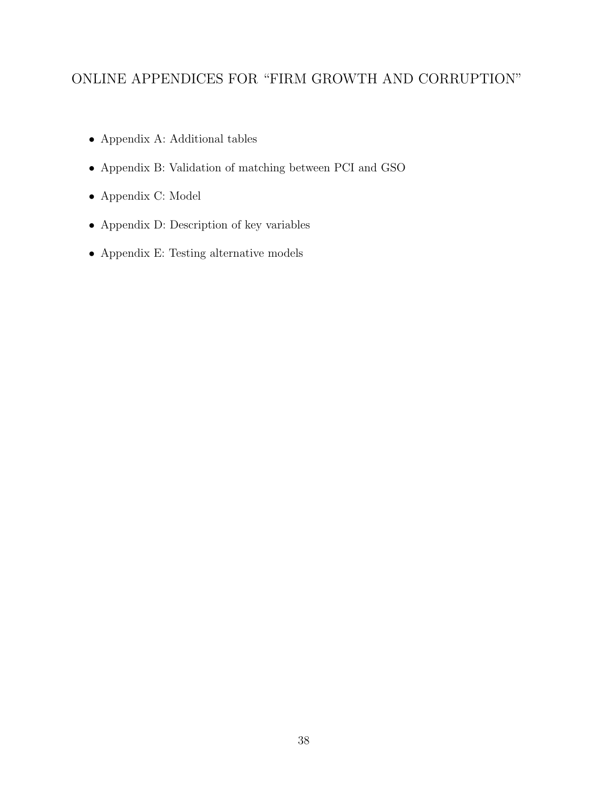# ONLINE APPENDICES FOR "FIRM GROWTH AND CORRUPTION"

- Appendix A: Additional tables
- Appendix B: Validation of matching between PCI and GSO
- Appendix C: Model
- Appendix D: Description of key variables
- Appendix E: Testing alternative models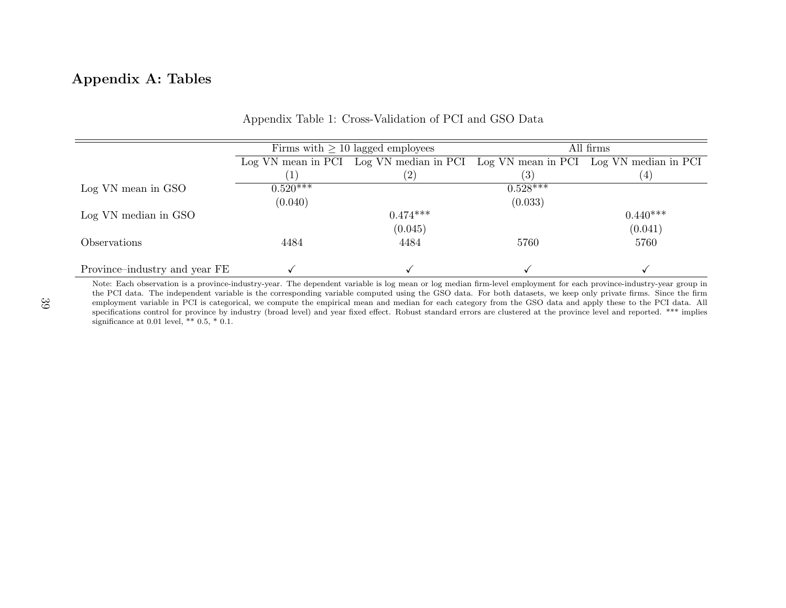# Appendix A: Tables

|                               |                       | Firms with $\geq 10$ lagged employees                                           | All firms  |                |  |  |
|-------------------------------|-----------------------|---------------------------------------------------------------------------------|------------|----------------|--|--|
|                               |                       | Log VN mean in PCI Log VN median in PCI Log VN mean in PCI Log VN median in PCI |            |                |  |  |
|                               |                       | (2)                                                                             | (3)        | $\overline{4}$ |  |  |
| Log VN mean in GSO            | $0.52\overline{0***}$ |                                                                                 | $0.528***$ |                |  |  |
|                               | (0.040)               |                                                                                 | (0.033)    |                |  |  |
| Log VN median in GSO          |                       | $0.474***$                                                                      |            | $0.440***$     |  |  |
|                               |                       | (0.045)                                                                         |            | (0.041)        |  |  |
| <i>Observations</i>           | 4484                  | 4484                                                                            | 5760       | 5760           |  |  |
| Province-industry and year FE |                       |                                                                                 |            |                |  |  |

#### Appendix Table 1: Cross-Validation of PCI and GSO Data

 Note: Each observation is <sup>a</sup> province-industry-year. The dependent variable is log mean or log median firm-level employment for each province-industry-year group in the PCI data. The independent variable is the corresponding variable computed using the GSO data. For both datasets, we keep only private firms. Since the firm employment variable in PCI is categorical, we compute the empirical mean and median for each category from the GSO data and apply these to the PCI data. Allspecifications control for province by industry (broad level) and year fixed effect. Robust standard errors are clustered at the province level and reported. \*\*\* implies significance at 0.01 level, \*\*  $0.5, *0.1$ .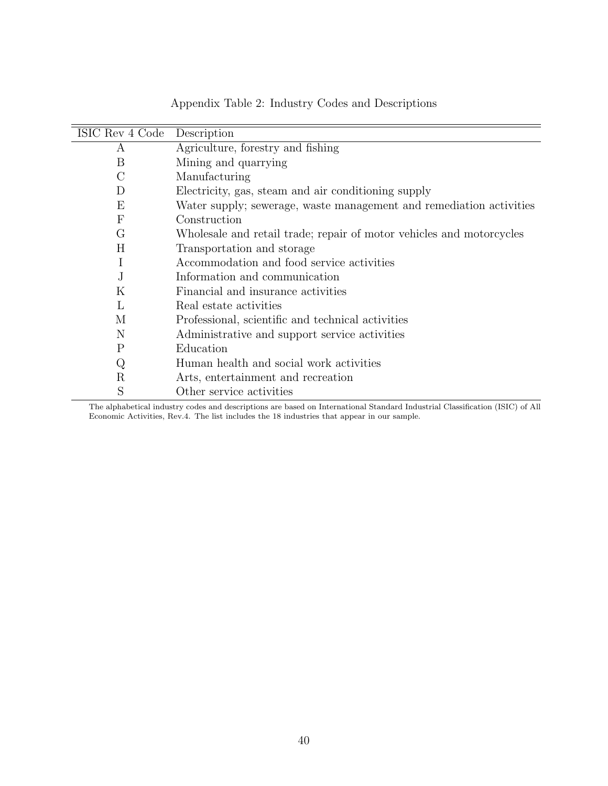| ISIC Rev 4 Code  | Description                                                          |
|------------------|----------------------------------------------------------------------|
| А                | Agriculture, forestry and fishing                                    |
| B                | Mining and quarrying                                                 |
| $\rm C$          | Manufacturing                                                        |
| D                | Electricity, gas, steam and air conditioning supply                  |
| Ε                | Water supply; sewerage, waste management and remediation activities  |
| $\boldsymbol{F}$ | Construction                                                         |
| G                | Wholesale and retail trade; repair of motor vehicles and motorcycles |
| Η                | Transportation and storage                                           |
| Ι                | Accommodation and food service activities                            |
| J.               | Information and communication                                        |
| K                | Financial and insurance activities                                   |
| L                | Real estate activities                                               |
| М                | Professional, scientific and technical activities                    |
| N                | Administrative and support service activities                        |
| P                | Education                                                            |
| Q                | Human health and social work activities                              |
| $\rm R$          | Arts, entertainment and recreation                                   |
| S                | Other service activities                                             |

Appendix Table 2: Industry Codes and Descriptions

The alphabetical industry codes and descriptions are based on International Standard Industrial Classification (ISIC) of All Economic Activities, Rev.4. The list includes the 18 industries that appear in our sample.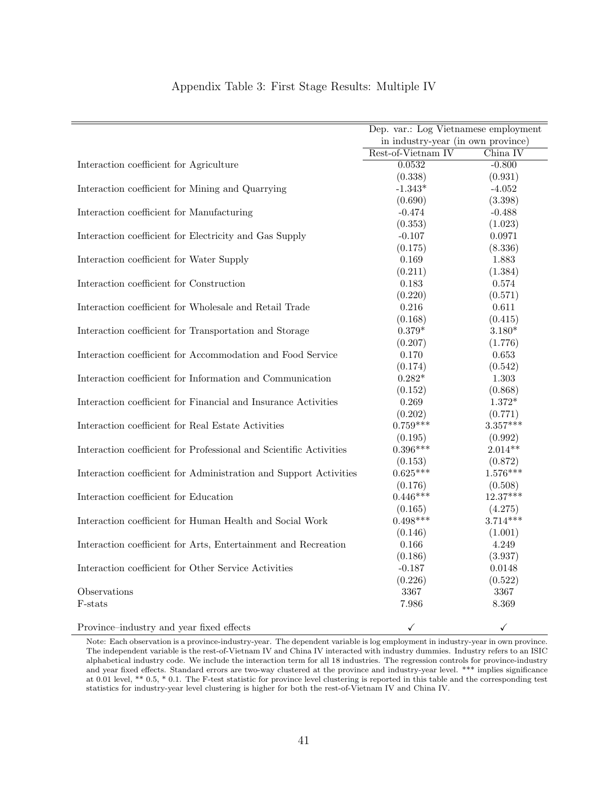|                                                                    | Dep. var.: Log Vietnamese employment |                          |
|--------------------------------------------------------------------|--------------------------------------|--------------------------|
|                                                                    | in industry-year (in own province)   |                          |
|                                                                    | Rest-of-Vietnam IV                   | China IV                 |
| Interaction coefficient for Agriculture                            | 0.0532                               | $-0.800$                 |
|                                                                    | (0.338)                              | (0.931)                  |
| Interaction coefficient for Mining and Quarrying                   | $-1.343*$                            | $-4.052$                 |
|                                                                    | (0.690)                              | (3.398)                  |
| Interaction coefficient for Manufacturing                          | $-0.474$                             | $-0.488$                 |
|                                                                    | (0.353)                              | (1.023)                  |
| Interaction coefficient for Electricity and Gas Supply             | $-0.107$                             | 0.0971                   |
|                                                                    | (0.175)                              | (8.336)                  |
| Interaction coefficient for Water Supply                           | $\,0.169\,$                          | 1.883                    |
|                                                                    | (0.211)                              | (1.384)                  |
| Interaction coefficient for Construction                           | 0.183                                | 0.574                    |
|                                                                    | (0.220)                              | (0.571)                  |
| Interaction coefficient for Wholesale and Retail Trade             | $0.216\,$                            | 0.611                    |
|                                                                    | (0.168)                              | (0.415)                  |
| Interaction coefficient for Transportation and Storage             | $0.379*$                             | $3.180*$                 |
|                                                                    | (0.207)                              | (1.776)                  |
| Interaction coefficient for Accommodation and Food Service         | 0.170                                | 0.653                    |
|                                                                    | (0.174)                              | (0.542)                  |
| Interaction coefficient for Information and Communication          | $0.282*$                             | 1.303                    |
|                                                                    | (0.152)                              | (0.868)                  |
| Interaction coefficient for Financial and Insurance Activities     | 0.269                                | $1.372^{\ast}$           |
|                                                                    | (0.202)                              | (0.771)                  |
| Interaction coefficient for Real Estate Activities                 | $0.759***$                           | $3.357***$               |
|                                                                    | (0.195)                              | (0.992)                  |
| Interaction coefficient for Professional and Scientific Activities | $0.396***$                           | $2.014**$                |
|                                                                    | (0.153)                              | (0.872)                  |
| Interaction coefficient for Administration and Support Activities  | $0.625***$                           | $1.576***$               |
|                                                                    | (0.176)                              | (0.508)                  |
| Interaction coefficient for Education                              | $0.446***$                           | $12.37***$               |
|                                                                    | (0.165)                              | (4.275)                  |
| Interaction coefficient for Human Health and Social Work           | $0.498***$                           | $3.714***$               |
|                                                                    | (0.146)                              | (1.001)                  |
| Interaction coefficient for Arts, Entertainment and Recreation     | 0.166                                | 4.249                    |
|                                                                    | (0.186)                              | (3.937)                  |
| Interaction coefficient for Other Service Activities               | $-0.187$                             | 0.0148                   |
|                                                                    | (0.226)                              | (0.522)                  |
| Observations                                                       | 3367                                 | 3367                     |
| F-stats                                                            | 7.986                                | 8.369                    |
|                                                                    | $\overline{\phantom{a}}$             | $\overline{\phantom{a}}$ |

#### Appendix Table 3: First Stage Results: Multiple IV

Province–industry and year fixed effects  $\checkmark$ 

Note: Each observation is a province-industry-year. The dependent variable is log employment in industry-year in own province. The independent variable is the rest-of-Vietnam IV and China IV interacted with industry dummies. Industry refers to an ISIC alphabetical industry code. We include the interaction term for all 18 industries. The regression controls for province-industry and year fixed effects. Standard errors are two-way clustered at the province and industry-year level. \*\*\* implies significance at 0.01 level, \*\* 0.5, \* 0.1. The F-test statistic for province level clustering is reported in this table and the corresponding test statistics for industry-year level clustering is higher for both the rest-of-Vietnam IV and China IV.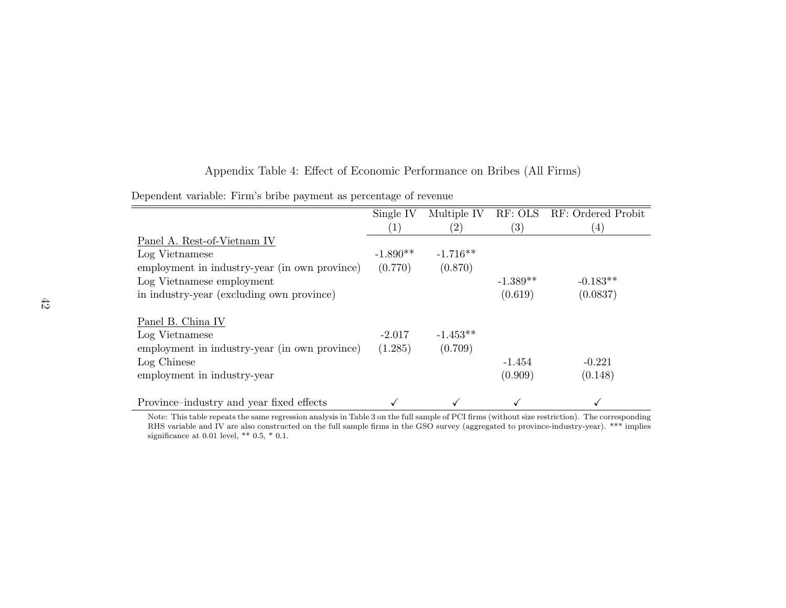|                                               | Single IV         | Multiple IV       | RF: OLS           | RF: Ordered Probit |
|-----------------------------------------------|-------------------|-------------------|-------------------|--------------------|
|                                               | $\left( 1\right)$ | $\left( 2\right)$ | $\left( 3\right)$ | (4)                |
| Panel A. Rest-of-Vietnam IV                   |                   |                   |                   |                    |
| Log Vietnamese                                | $-1.890**$        | $-1.716**$        |                   |                    |
| employment in industry-year (in own province) | (0.770)           | (0.870)           |                   |                    |
| Log Vietnamese employment                     |                   |                   | $-1.389**$        | $-0.183**$         |
| in industry-year (excluding own province)     |                   |                   | (0.619)           | (0.0837)           |
| Panel B. China IV                             |                   |                   |                   |                    |
| Log Vietnamese                                | $-2.017$          | $-1.453**$        |                   |                    |
| employment in industry-year (in own province) | (1.285)           | (0.709)           |                   |                    |
| Log Chinese                                   |                   |                   | $-1.454$          | $-0.221$           |
| employment in industry-year                   |                   |                   | (0.909)           | (0.148)            |
| Province-industry and year fixed effects      |                   |                   |                   |                    |

# Appendix Table 4: Effect of Economic Performance on Bribes (All Firms)

Dependent variable: Firm's bribe payment as percentage of revenue

 Note: This table repeats the same regression analysis in Table <sup>3</sup> on the full sample of PCI firms (without size restriction). The corresponding RHS variable and IV are also constructed on the full sample firms in the GSO survey (aggregated to province-industry-year). \*\*\* impliessignificance at 0.01 level, \*\*  $0.5, *0.1$ .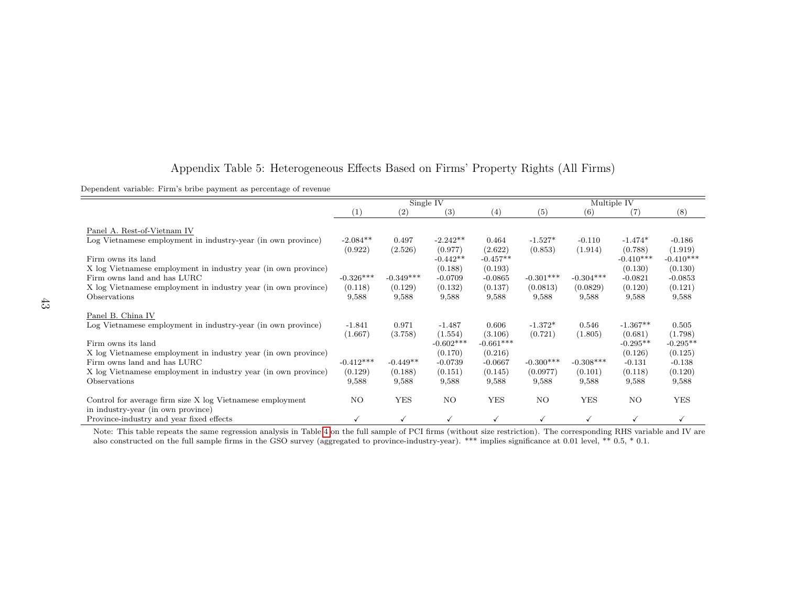## Appendix Table 5: Heterogeneous Effects Based on Firms' Property Rights (All Firms)

Dependent variable: Firm's bribe payment as percentage of revenue

|                                                                                                                                                                                                                                                                                                      |                                                          | Single IV                                           |                                                                                 |                                                                             | Multiple IV                                              |                                                         |                                                                                 |                                                                                |
|------------------------------------------------------------------------------------------------------------------------------------------------------------------------------------------------------------------------------------------------------------------------------------------------------|----------------------------------------------------------|-----------------------------------------------------|---------------------------------------------------------------------------------|-----------------------------------------------------------------------------|----------------------------------------------------------|---------------------------------------------------------|---------------------------------------------------------------------------------|--------------------------------------------------------------------------------|
|                                                                                                                                                                                                                                                                                                      | (1)                                                      | (2)                                                 | (3)                                                                             | (4)                                                                         | (5)                                                      | (6)                                                     | $\left( 7\right)$                                                               | (8)                                                                            |
| Panel A. Rest-of-Vietnam IV<br>Log Vietnamese employment in industry-year (in own province)<br>Firm owns its land<br>X log Vietnamese employment in industry year (in own province)<br>Firm owns land and has LURC<br>X log Vietnamese employment in industry year (in own province)<br>Observations | $-2.084**$<br>(0.922)<br>$-0.326***$<br>(0.118)<br>9,588 | 0.497<br>(2.526)<br>$-0.349***$<br>(0.129)<br>9,588 | $-2.242**$<br>(0.977)<br>$-0.442**$<br>(0.188)<br>$-0.0709$<br>(0.132)<br>9,588 | 0.464<br>(2.622)<br>$-0.457**$<br>(0.193)<br>$-0.0865$<br>(0.137)<br>9,588  | $-1.527*$<br>(0.853)<br>$-0.301***$<br>(0.0813)<br>9,588 | $-0.110$<br>(1.914)<br>$-0.304***$<br>(0.0829)<br>9,588 | $-1.474*$<br>(0.788)<br>$-0.410***$<br>(0.130)<br>$-0.0821$<br>(0.120)<br>9,588 | $-0.186$<br>(1.919)<br>$-0.410***$<br>(0.130)<br>$-0.0853$<br>(0.121)<br>9,588 |
| Panel B. China IV<br>Log Vietnamese employment in industry-year (in own province)<br>Firm owns its land<br>X log Vietnamese employment in industry year (in own province)<br>Firm owns land and has LURC<br>X log Vietnamese employment in industry year (in own province)<br>Observations           | $-1.841$<br>(1.667)<br>$-0.412***$<br>(0.129)<br>9,588   | 0.971<br>(3.758)<br>$-0.449**$<br>(0.188)<br>9,588  | $-1.487$<br>(1.554)<br>$-0.602***$<br>(0.170)<br>$-0.0739$<br>(0.151)<br>9,588  | 0.606<br>(3.106)<br>$-0.661***$<br>(0.216)<br>$-0.0667$<br>(0.145)<br>9,588 | $-1.372*$<br>(0.721)<br>$-0.300***$<br>(0.0977)<br>9,588 | 0.546<br>(1.805)<br>$-0.308***$<br>(0.101)<br>9,588     | $-1.367**$<br>(0.681)<br>$-0.295**$<br>(0.126)<br>$-0.131$<br>(0.118)<br>9,588  | 0.505<br>(1.798)<br>$-0.295**$<br>(0.125)<br>$-0.138$<br>(0.120)<br>9,588      |
| Control for average firm size X log Vietnamese employment                                                                                                                                                                                                                                            | NO.                                                      | YES                                                 | NO.                                                                             | <b>YES</b>                                                                  | NO.                                                      | <b>YES</b>                                              | NO.                                                                             | YES                                                                            |
| in industry-year (in own province)<br>Province-industry and year fixed effects                                                                                                                                                                                                                       |                                                          | ✓                                                   |                                                                                 | $\checkmark$                                                                |                                                          | $\checkmark$                                            |                                                                                 |                                                                                |

 Note: This table repeats the same regression analysis in Table 4 on the full sample of PCI firms (without size restriction). The corresponding RHS variable and IV arealso constructed on the full sample firms in the GSO survey (aggregated to province-industry-year). \*\*\* implies significance at 0.01 level, \*\* 0.5, \* 0.1.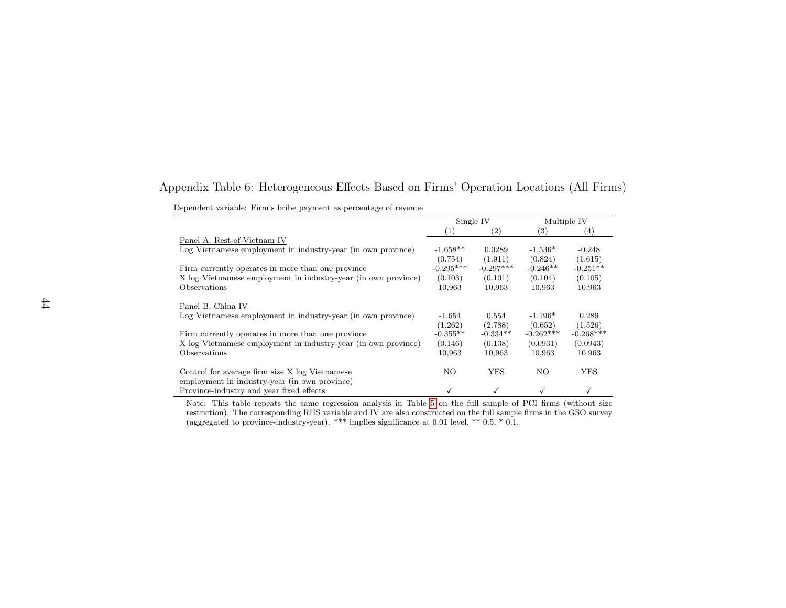# Appendix Table 6: Heterogeneous Effects Based on Firms' Operation Locations (All Firms)

| Dependent variable: Firm's bribe payment as percentage of revenue |  |  |  |  |  |  |  |
|-------------------------------------------------------------------|--|--|--|--|--|--|--|
|-------------------------------------------------------------------|--|--|--|--|--|--|--|

|                                                                                                 |             | Single IV   |             | Multiple IV       |
|-------------------------------------------------------------------------------------------------|-------------|-------------|-------------|-------------------|
|                                                                                                 | (1)         | (2)         | (3)         | $\left( 4\right)$ |
| Panel A. Rest-of-Vietnam IV                                                                     |             |             |             |                   |
| Log Vietnamese employment in industry-year (in own province)                                    | $-1.658**$  | 0.0289      | $-1.536*$   | $-0.248$          |
|                                                                                                 | (0.754)     | (1.911)     | (0.824)     | (1.615)           |
| Firm currently operates in more than one province                                               | $-0.295***$ | $-0.297***$ | $-0.246**$  | $-0.251**$        |
| X log Vietnamese employment in industry-year (in own province)                                  | (0.103)     | (0.101)     | (0.104)     | (0.105)           |
| Observations                                                                                    | 10,963      | 10,963      | 10,963      | 10,963            |
| Panel B. China IV                                                                               |             |             |             |                   |
| Log Vietnamese employment in industry-year (in own province)                                    | $-1.654$    | 0.554       | $-1.196*$   | 0.289             |
|                                                                                                 | (1.262)     | (2.788)     | (0.652)     | (1.526)           |
| Firm currently operates in more than one province                                               | $-0.355**$  | $-0.334**$  | $-0.262***$ | $-0.268***$       |
| X log Vietnamese employment in industry-year (in own province)                                  | (0.146)     | (0.138)     | (0.0931)    | (0.0943)          |
| Observations                                                                                    | 10,963      | 10,963      | 10,963      | 10,963            |
| Control for average firm size X log Vietnamese<br>employment in industry-year (in own province) | NO.         | YES         | NO.         | YES               |
| Province-industry and year fixed effects                                                        |             |             |             |                   |

 Note: This table repeats the same regression analysis in Table 5 on the full sample of PCI firms (without size restriction). The corresponding RHS variable and IV are also constructed on the full sample firms in the GSO survey(aggregated to province-industry-year). \*\*\* implies significance at 0.01 level, \*\* 0.5, \* 0.1.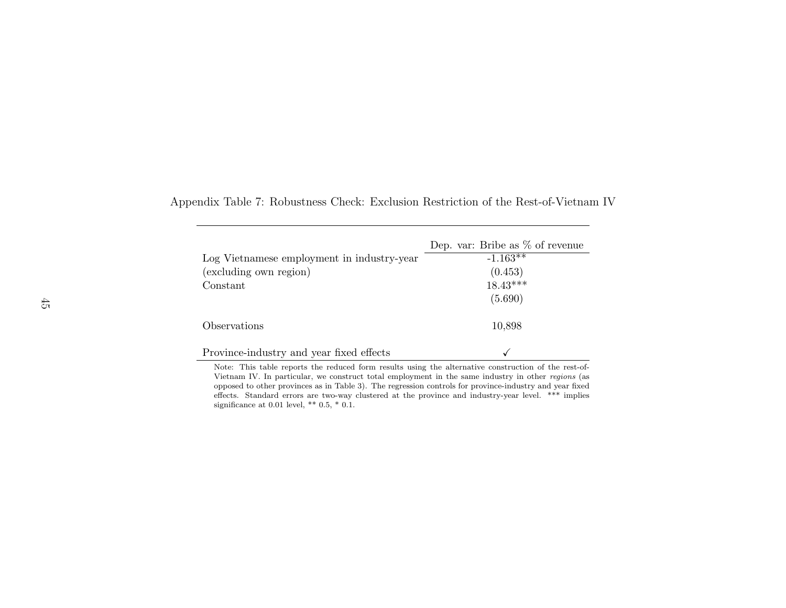|                                            | Dep. var: Bribe as $\%$ of revenue |
|--------------------------------------------|------------------------------------|
| Log Vietnamese employment in industry-year | $-1.163*$                          |
| (excluding own region)                     | (0.453)                            |
| Constant                                   | $18.43***$                         |
|                                            | (5.690)                            |
| Observations                               | 10,898                             |
| Province-industry and year fixed effects   |                                    |

Appendix Table 7: Robustness Check: Exclusion Restriction of the Rest-of-Vietnam IV

 Note: This table reports the reduced form results using the alternative construction of the rest-of-Vietnam IV. In particular, we construct total employment in the same industry in other regions (as opposed to other provinces as in Table 3). The regression controls for province-industry and year fixed effects. Standard errors are two-way clustered at the province and industry-year level. \*\*\* impliessignificance at 0.01 level, \*\*  $0.5, *0.1$ .

 $\overline{a}$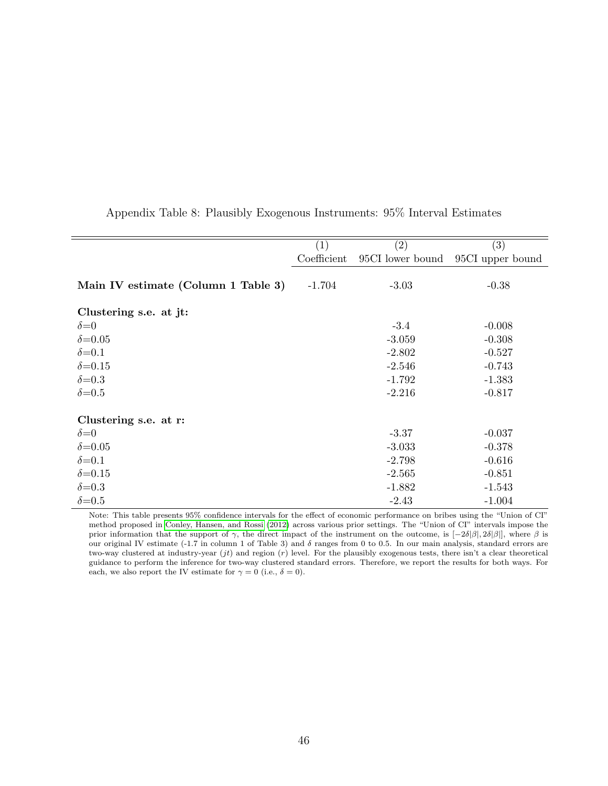|                                     | (1)         | (2)              | (3)              |
|-------------------------------------|-------------|------------------|------------------|
|                                     | Coefficient | 95CI lower bound | 95CI upper bound |
| Main IV estimate (Column 1 Table 3) | $-1.704$    | $-3.03$          | $-0.38$          |
|                                     |             |                  |                  |
| Clustering s.e. at jt:              |             |                  |                  |
| $\delta = 0$                        |             | $-3.4$           | $-0.008$         |
| $\delta = 0.05$                     |             | $-3.059$         | $-0.308$         |
| $\delta = 0.1$                      |             | $-2.802$         | $-0.527$         |
| $\delta = 0.15$                     |             | $-2.546$         | $-0.743$         |
| $\delta = 0.3$                      |             | $-1.792$         | $-1.383$         |
| $\delta = 0.5$                      |             | $-2.216$         | $-0.817$         |
|                                     |             |                  |                  |
| Clustering s.e. at r:               |             |                  |                  |
| $\delta = 0$                        |             | $-3.37$          | $-0.037$         |
| $\delta = 0.05$                     |             | $-3.033$         | $-0.378$         |
| $\delta = 0.1$                      |             | $-2.798$         | $-0.616$         |
| $\delta = 0.15$                     |             | $-2.565$         | $-0.851$         |
| $\delta = 0.3$                      |             | $-1.882$         | $-1.543$         |
| $\delta = 0.5$                      |             | $-2.43$          | $-1.004$         |

## Appendix Table 8: Plausibly Exogenous Instruments: 95% Interval Estimates

Note: This table presents 95% confidence intervals for the effect of economic performance on bribes using the "Union of CI" method proposed in Conley, Hansen, and Rossi (2012) across various prior settings. The "Union of CI" intervals impose the prior information that the support of γ, the direct impact of the instrument on the outcome, is  $[-2\delta|\beta|, 2\delta|\beta|]$ , where  $\beta$  is our original IV estimate (-1.7 in column 1 of Table 3) and  $\delta$  ranges from 0 to 0.5. In our main analysis, standard errors are two-way clustered at industry-year  $(jt)$  and region  $(r)$  level. For the plausibly exogenous tests, there isn't a clear theoretical guidance to perform the inference for two-way clustered standard errors. Therefore, we report the results for both ways. For each, we also report the IV estimate for  $\gamma = 0$  (i.e.,  $\delta = 0$ ).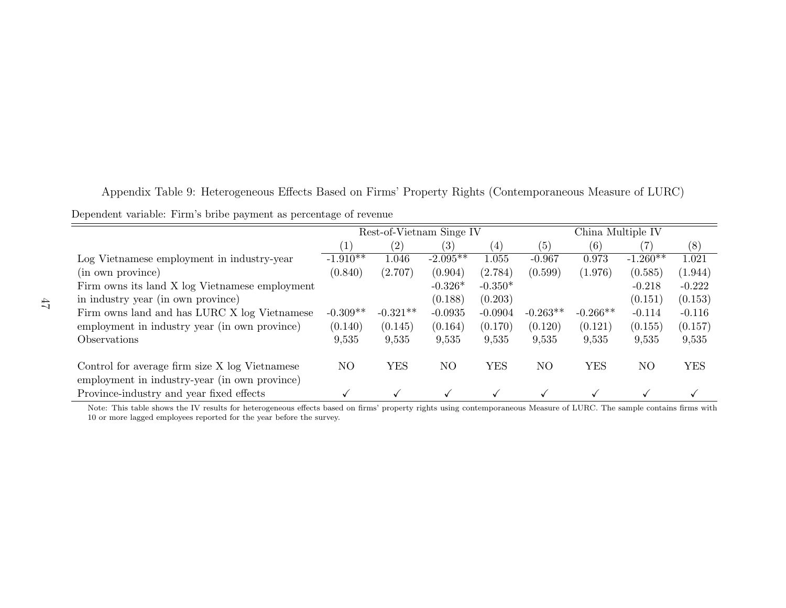Appendix Table 9: Heterogeneous Effects Based on Firms' Property Rights (Contemporaneous Measure of LURC)Dependent variable: Firm's bribe payment as percentage of revenue

|                                                                                                 | Rest-of-Vietnam Singe IV |                   |                   | China Multiple IV |                |            |                |            |
|-------------------------------------------------------------------------------------------------|--------------------------|-------------------|-------------------|-------------------|----------------|------------|----------------|------------|
|                                                                                                 | $\lfloor \perp \rfloor$  | $\left( 2\right)$ | $\left( 3\right)$ | $\left( 4\right)$ | (5)            | (6)        | 7)             | (8)        |
| Log Vietnamese employment in industry-year                                                      | $-1.910**$               | $1.046\,$         | $-2.095**$        | 1.055             | $-0.967$       | 0.973      | $-1.260**$     | 1.021      |
| (in own province)                                                                               | (0.840)                  | (2.707)           | (0.904)           | (2.784)           | (0.599)        | (1.976)    | (0.585)        | (1.944)    |
| Firm owns its land X log Vietnamese employment                                                  |                          |                   | $-0.326*$         | $-0.350*$         |                |            | $-0.218$       | $-0.222$   |
| in industry year (in own province)                                                              |                          |                   | (0.188)           | (0.203)           |                |            | (0.151)        | (0.153)    |
| Firm owns land and has LURC X log Vietnamese                                                    | $-0.309**$               | $-0.321**$        | $-0.0935$         | $-0.0904$         | $-0.263**$     | $-0.266**$ | $-0.114$       | $-0.116$   |
| employment in industry year (in own province)                                                   | (0.140)                  | (0.145)           | (0.164)           | (0.170)           | (0.120)        | (0.121)    | (0.155)        | (0.157)    |
| Observations                                                                                    | 9,535                    | 9,535             | 9,535             | 9,535             | 9,535          | 9,535      | 9,535          | 9,535      |
| Control for average firm size X log Vietnamese<br>employment in industry-year (in own province) | N <sub>O</sub>           | <b>YES</b>        | N <sub>O</sub>    | <b>YES</b>        | N <sub>O</sub> | <b>YES</b> | N <sub>O</sub> | <b>YES</b> |
| Province-industry and year fixed effects                                                        |                          |                   |                   |                   |                |            | $\checkmark$   |            |

 Note: This table shows the IV results for heterogeneous effects based on firms' property rights using contemporaneous Measure of LURC. The sample contains firms with10 or more lagged employees reported for the year before the survey.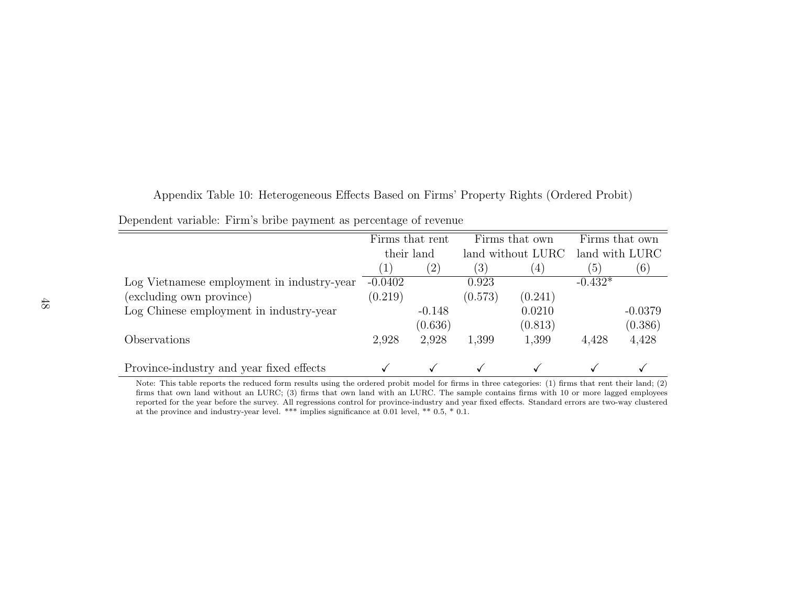| Appendix Table 10: Heterogeneous Effects Based on Firms' Property Rights (Ordered Probit) |  |  |  |  |
|-------------------------------------------------------------------------------------------|--|--|--|--|
|                                                                                           |  |  |  |  |

|  |  | Dependent variable: Firm's bribe payment as percentage of revenue |  |
|--|--|-------------------------------------------------------------------|--|
|  |  |                                                                   |  |

|                                            | Firms that rent        |          |         | Firms that own    | Firms that own |           |
|--------------------------------------------|------------------------|----------|---------|-------------------|----------------|-----------|
|                                            | their land             |          |         | land without LURC | land with LURC |           |
|                                            | $\left  \cdot \right $ | (2)      | (3)     | (4)               | (5)            | (6)       |
| Log Vietnamese employment in industry-year | $-0.0402$              |          | 0.923   |                   | $-0.432*$      |           |
| (excluding own province)                   | (0.219)                |          | (0.573) | (0.241)           |                |           |
| Log Chinese employment in industry-year    |                        | $-0.148$ |         | 0.0210            |                | $-0.0379$ |
|                                            |                        | (0.636)  |         | (0.813)           |                | (0.386)   |
| Observations                               | 2,928                  | 2,928    | 1,399   | 1,399             | 4,428          | 4,428     |
|                                            |                        |          |         |                   |                |           |
| Province-industry and year fixed effects   |                        |          |         |                   |                |           |

 Note: This table reports the reduced form results using the ordered probit model for firms in three categories: (1) firms that rent their land; (2) firms that own land without an LURC; (3) firms that own land with an LURC. The sample contains firms with <sup>10</sup> or more lagged employees reported for the year before the survey. All regressions control for province-industry and year fixed effects. Standard errors are two-way clusteredat the province and industry-year level. \*\*\* implies significance at 0.01 level, \*\* 0.5, \* 0.1.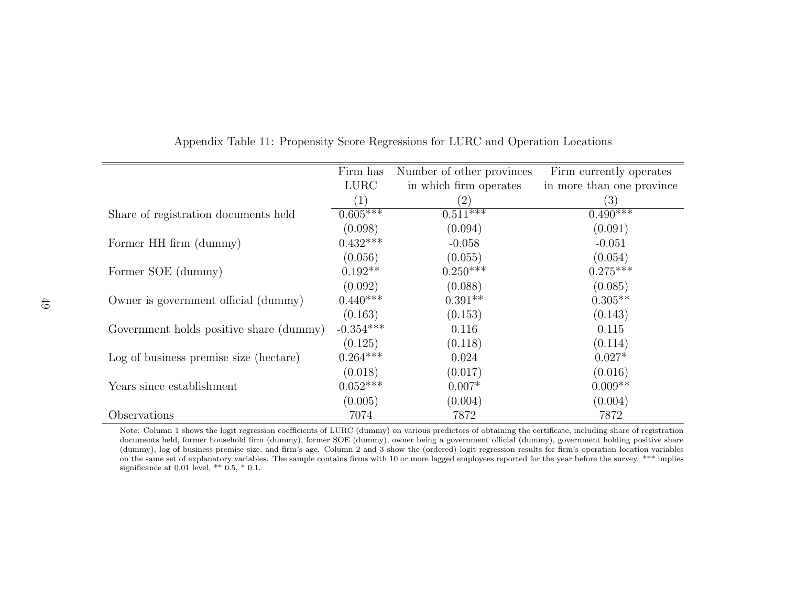|                                         | Firm has         | Number of other provinces | Firm currently operates   |
|-----------------------------------------|------------------|---------------------------|---------------------------|
|                                         | <b>LURC</b>      | in which firm operates    | in more than one province |
|                                         | $\left(1\right)$ | (2)                       | (3)                       |
| Share of registration documents held    | $0.605***$       | $0.511***$                | $0.490***$                |
|                                         | (0.098)          | (0.094)                   | (0.091)                   |
| Former HH firm (dummy)                  | $0.432***$       | $-0.058$                  | $-0.051$                  |
|                                         | (0.056)          | (0.055)                   | (0.054)                   |
| Former SOE (dummy)                      | $0.192**$        | $0.250***$                | $0.275***$                |
|                                         | (0.092)          | (0.088)                   | (0.085)                   |
| Owner is government official (dummy)    | $0.440***$       | $0.391**$                 | $0.305**$                 |
|                                         | (0.163)          | (0.153)                   | (0.143)                   |
| Government holds positive share (dummy) | $-0.354***$      | 0.116                     | 0.115                     |
|                                         | (0.125)          | (0.118)                   | (0.114)                   |
| Log of business premise size (hectare)  | $0.264***$       | 0.024                     | $0.027*$                  |
|                                         | (0.018)          | (0.017)                   | (0.016)                   |
| Years since establishment               | $0.052***$       | $0.007*$                  | $0.009**$                 |
|                                         | (0.005)          | (0.004)                   | (0.004)                   |
| Observations                            | 7074             | 7872                      | 7872                      |

Appendix Table 11: Propensity Score Regressions for LURC and Operation Locations

Note: Column <sup>1</sup> shows the logit regression coefficients of LURC (dummy) on various predictors of obtaining the certificate, including share of registration documents held, former household firm (dummy), former SOE (dummy), owner being <sup>a</sup> government official (dummy), government holding positive share (dummy), log of business premise size, and firm's age. Column <sup>2</sup> and <sup>3</sup> show the (ordered) logit regression results for firm's operation location variables on the same set of explanatory variables. The sample contains firms with 10 or more lagged employees reported for the year before the survey. \*\*\* impliessignificance at 0.01 level, \*\*  $0.5, *0.1$ .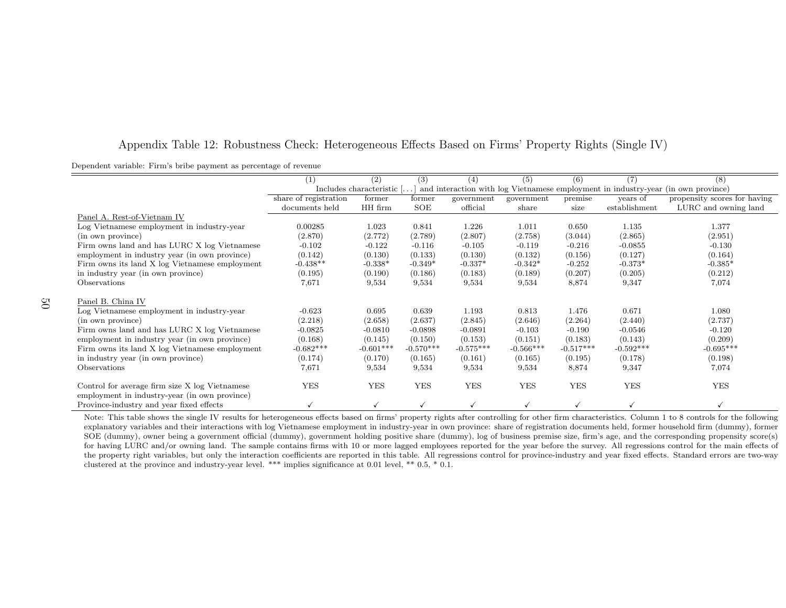## Appendix Table 12: Robustness Check: Heterogeneous Effects Based on Firms' Property Rights (Single IV)

|                                                | $\left(1\right)$      | (2)                       | (3)         | (4)          | (5)         | (6)         | (7)           | (8)                                                                               |
|------------------------------------------------|-----------------------|---------------------------|-------------|--------------|-------------|-------------|---------------|-----------------------------------------------------------------------------------|
|                                                |                       | Includes characteristic [ |             |              |             |             |               | and interaction with log Vietnamese employment in industry-year (in own province) |
|                                                | share of registration | former                    | former      | government   | government  | premise     | years of      | propensity scores for having                                                      |
|                                                | documents held        | HH firm                   | SOE         | official     | share       | size        | establishment | LURC and owning land                                                              |
| Panel A. Rest-of-Vietnam IV                    |                       |                           |             |              |             |             |               |                                                                                   |
| Log Vietnamese employment in industry-year     | 0.00285               | 1.023                     | 0.841       | 1.226        | 1.011       | 0.650       | 1.135         | 1.377                                                                             |
| (in own province)                              | (2.870)               | (2.772)                   | (2.789)     | (2.807)      | (2.758)     | (3.044)     | (2.865)       | (2.951)                                                                           |
| Firm owns land and has LURC X log Vietnamese   | $-0.102$              | $-0.122$                  | $-0.116$    | $-0.105$     | $-0.119$    | $-0.216$    | $-0.0855$     | $-0.130$                                                                          |
| employment in industry year (in own province)  | (0.142)               | (0.130)                   | (0.133)     | (0.130)      | (0.132)     | (0.156)     | (0.127)       | (0.164)                                                                           |
| Firm owns its land X log Vietnamese employment | $-0.438**$            | $-0.338*$                 | $-0.349*$   | $-0.337*$    | $-0.342*$   | $-0.252$    | $-0.373*$     | $-0.385*$                                                                         |
| in industry year (in own province)             | (0.195)               | (0.190)                   | (0.186)     | (0.183)      | (0.189)     | (0.207)     | (0.205)       | (0.212)                                                                           |
| <b>Observations</b>                            | 7,671                 | 9,534                     | 9,534       | 9,534        | 9,534       | 8,874       | 9,347         | 7,074                                                                             |
| Panel B. China IV                              |                       |                           |             |              |             |             |               |                                                                                   |
| Log Vietnamese employment in industry-year     | $-0.623$              | 0.695                     | 0.639       | 1.193        | 0.813       | 1.476       | 0.671         | 1.080                                                                             |
| (in own province)                              | (2.218)               | (2.658)                   | (2.637)     | (2.845)      | (2.646)     | (2.264)     | (2.440)       | (2.737)                                                                           |
| Firm owns land and has LURC X log Vietnamese   | $-0.0825$             | $-0.0810$                 | $-0.0898$   | $-0.0891$    | $-0.103$    | $-0.190$    | $-0.0546$     | $-0.120$                                                                          |
| employment in industry year (in own province)  | (0.168)               | (0.145)                   | (0.150)     | (0.153)      | (0.151)     | (0.183)     | (0.143)       | (0.209)                                                                           |
| Firm owns its land X log Vietnamese employment | $-0.682***$           | $-0.601***$               | $-0.570***$ | $-0.575***$  | $-0.566***$ | $-0.517***$ | $-0.592***$   | $-0.695***$                                                                       |
| in industry year (in own province)             | (0.174)               | (0.170)                   | (0.165)     | (0.161)      |             | (0.195)     | (0.178)       | (0.198)                                                                           |
| Observations                                   |                       |                           |             |              | (0.165)     |             |               |                                                                                   |
|                                                | 7,671                 | 9,534                     | 9,534       | 9,534        | 9,534       | 8,874       | 9,347         | 7,074                                                                             |
| Control for average firm size X log Vietnamese | <b>YES</b>            | <b>YES</b>                | <b>YES</b>  | <b>YES</b>   | <b>YES</b>  | <b>YES</b>  | <b>YES</b>    | <b>YES</b>                                                                        |
| employment in industry-year (in own province)  |                       |                           |             |              |             |             |               |                                                                                   |
| Province-industry and year fixed effects       |                       |                           |             | $\checkmark$ |             |             |               |                                                                                   |

 Note: This table shows the single IV results for heterogeneous effects based on firms' property rights after controlling for other firm characteristics. Column 1 to 8 controls for the following explanatory variables and their interactions with log Vietnamese employment in industry-year in own province: share of registration documents held, former household firm (dummy), former SOE (dummy), owner being <sup>a</sup> government official (dummy), government holding positive share (dummy), log of business premise size, firm's age, and the corresponding propensity score(s)for having LURC and/or owning land. The sample contains firms with 10 or more lagged employees reported for the year before the survey. All regressions control for the main effects of the property right variables, but only the interaction coefficients are reported in this table. All regressions control for province-industry and year fixed effects. Standard errors are two-wayclustered at the province and industry-year level. \*\*\* implies significance at 0.01 level, \*\* 0.5, \* 0.1.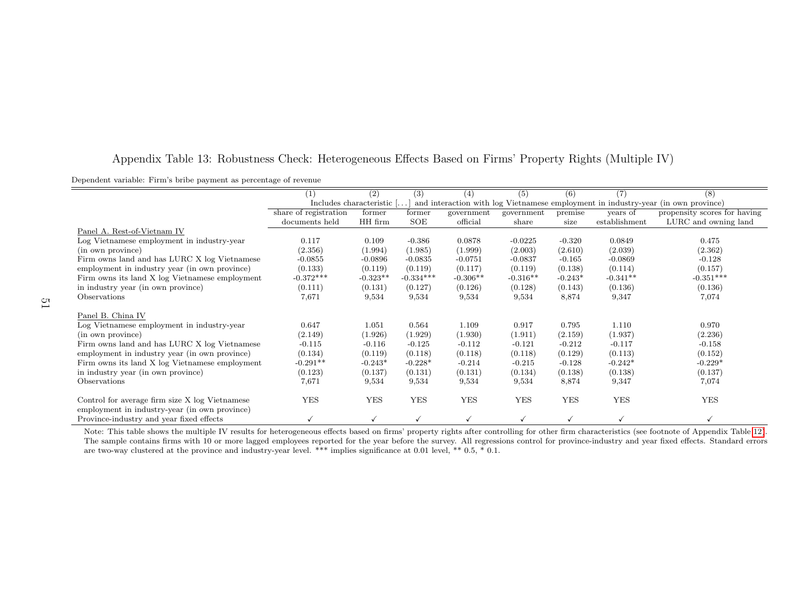| Appendix Table 13: Robustness Check: Heterogeneous Effects Based on Firms' Property Rights (Multiple IV) |  |  |  |
|----------------------------------------------------------------------------------------------------------|--|--|--|
|----------------------------------------------------------------------------------------------------------|--|--|--|

| Dependent variable: Firm's bribe payment as percentage of revenue |  |  |  |
|-------------------------------------------------------------------|--|--|--|
|-------------------------------------------------------------------|--|--|--|

|                                                                                                 | (1)                   | (2)                               | (3)         | (4)        | (5)          | (6)        | $\scriptstyle{(7)}$ | (8)                                                                               |
|-------------------------------------------------------------------------------------------------|-----------------------|-----------------------------------|-------------|------------|--------------|------------|---------------------|-----------------------------------------------------------------------------------|
|                                                                                                 |                       | Includes characteristic $[\dots]$ |             |            |              |            |                     | and interaction with log Vietnamese employment in industry-year (in own province) |
|                                                                                                 | share of registration | former                            | former      | government | government   | premise    | years of            | propensity scores for having                                                      |
|                                                                                                 | documents held        | HH firm                           | SOE         | official   | share        | size       | establishment       | LURC and owning land                                                              |
| Panel A. Rest-of-Vietnam IV                                                                     |                       |                                   |             |            |              |            |                     |                                                                                   |
| Log Vietnamese employment in industry-year                                                      | 0.117                 | 0.109                             | $-0.386$    | 0.0878     | $-0.0225$    | $-0.320$   | 0.0849              | 0.475                                                                             |
| (in own province)                                                                               | (2.356)               | (1.994)                           | (1.985)     | (1.999)    | (2.003)      | (2.610)    | (2.039)             | (2.362)                                                                           |
| Firm owns land and has LURC X log Vietnamese                                                    | $-0.0855$             | $-0.0896$                         | $-0.0835$   | $-0.0751$  | $-0.0837$    | $-0.165$   | $-0.0869$           | $-0.128$                                                                          |
| employment in industry year (in own province)                                                   | (0.133)               | (0.119)                           | (0.119)     | (0.117)    | (0.119)      | (0.138)    | (0.114)             | (0.157)                                                                           |
| Firm owns its land X log Vietnamese employment                                                  | $-0.372***$           | $-0.323**$                        | $-0.334***$ | $-0.306**$ | $-0.316**$   | $-0.243*$  | $-0.341**$          | $-0.351***$                                                                       |
| in industry year (in own province)                                                              | (0.111)               | (0.131)                           | (0.127)     | (0.126)    | (0.128)      | (0.143)    | (0.136)             | (0.136)                                                                           |
| Observations                                                                                    | 7,671                 | 9,534                             | 9,534       | 9,534      | 9,534        | 8,874      | 9,347               | 7,074                                                                             |
|                                                                                                 |                       |                                   |             |            |              |            |                     |                                                                                   |
| Panel B. China IV                                                                               |                       |                                   |             |            |              |            |                     |                                                                                   |
| Log Vietnamese employment in industry-year                                                      | 0.647                 | 1.051                             | 0.564       | 1.109      | 0.917        | 0.795      | 1.110               | 0.970                                                                             |
| (in own province)                                                                               | (2.149)               | (1.926)                           | (1.929)     | (1.930)    | (1.911)      | (2.159)    | (1.937)             | (2.236)                                                                           |
| Firm owns land and has LURC X log Vietnamese                                                    | $-0.115$              | $-0.116$                          | $-0.125$    | $-0.112$   | $-0.121$     | $-0.212$   | $-0.117$            | $-0.158$                                                                          |
| employment in industry year (in own province)                                                   | (0.134)               | (0.119)                           | (0.118)     | (0.118)    | (0.118)      | (0.129)    | (0.113)             | (0.152)                                                                           |
| Firm owns its land X log Vietnamese employment                                                  | $-0.291**$            | $-0.243*$                         | $-0.228*$   | $-0.214$   | $-0.215$     | $-0.128$   | $-0.242*$           | $-0.229*$                                                                         |
| in industry year (in own province)                                                              | (0.123)               | (0.137)                           | (0.131)     | (0.131)    | (0.134)      | (0.138)    | (0.138)             | (0.137)                                                                           |
| Observations                                                                                    | 7,671                 | 9,534                             | 9,534       | 9,534      | 9,534        | 8,874      | 9,347               | 7,074                                                                             |
| Control for average firm size X log Vietnamese<br>employment in industry-year (in own province) | <b>YES</b>            | <b>YES</b>                        | <b>YES</b>  | <b>YES</b> | <b>YES</b>   | <b>YES</b> | <b>YES</b>          | <b>YES</b>                                                                        |
| Province-industry and year fixed effects                                                        |                       | $\checkmark$                      |             |            | $\checkmark$ |            |                     |                                                                                   |

 Note: This table shows the multiple IV results for heterogeneous effects based on firms' property rights after controlling for other firm characteristics (see footnote of Appendix Table 12).The sample contains firms with 10 or more lagged employees reported for the year before the survey. All regressions control for province-industry and year fixed effects. Standard errors are two-way clustered at the provin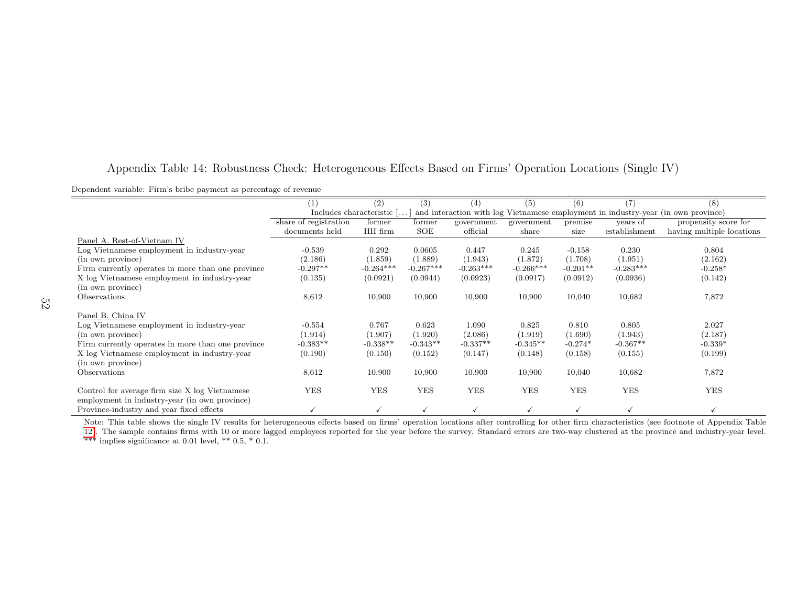|                                                   |                       | $\left( 2\right)$         | (3)         | (4)          | (5)          | (6)        | $\scriptstyle{(7)}$ | (8)                                                                               |
|---------------------------------------------------|-----------------------|---------------------------|-------------|--------------|--------------|------------|---------------------|-----------------------------------------------------------------------------------|
|                                                   |                       | Includes characteristic [ |             |              |              |            |                     | and interaction with log Vietnamese employment in industry-year (in own province) |
|                                                   | share of registration | former                    | former      | government   | government   | premise    | years of            | propensity score for                                                              |
|                                                   | documents held        | HH firm                   | SOE         | official     | share        | size       | establishment       | having multiple locations                                                         |
| Panel A. Rest-of-Vietnam IV                       |                       |                           |             |              |              |            |                     |                                                                                   |
| Log Vietnamese employment in industry-year        | $-0.539$              | 0.292                     | 0.0605      | 0.447        | 0.245        | $-0.158$   | 0.230               | 0.804                                                                             |
| (in own province)                                 | (2.186)               | (1.859)                   | (1.889)     | (1.943)      | (1.872)      | (1.708)    | (1.951)             | (2.162)                                                                           |
| Firm currently operates in more than one province | $-0.297**$            | $-0.264***$               | $-0.267***$ | $-0.263***$  | $-0.266***$  | $-0.201**$ | $-0.283***$         | $-0.258*$                                                                         |
| X log Vietnamese employment in industry-year      | (0.135)               | (0.0921)                  | (0.0944)    | (0.0923)     | (0.0917)     | (0.0912)   | (0.0936)            | (0.142)                                                                           |
| (in own province)                                 |                       |                           |             |              |              |            |                     |                                                                                   |
| Observations                                      | 8,612                 | 10,900                    | 10,900      | 10,900       | 10,900       | 10,040     | 10,682              | 7,872                                                                             |
|                                                   |                       |                           |             |              |              |            |                     |                                                                                   |
| Panel B. China IV                                 |                       |                           |             |              |              |            |                     |                                                                                   |
| Log Vietnamese employment in industry-year        | $-0.554$              | 0.767                     | 0.623       | 1.090        | 0.825        | 0.810      | 0.805               | 2.027                                                                             |
|                                                   |                       |                           |             |              |              |            |                     |                                                                                   |
| (in own province)                                 | (1.914)               | (1.907)                   | (1.920)     | (2.086)      | (1.919)      | (1.690)    | (1.943)             | (2.187)                                                                           |
| Firm currently operates in more than one province | $-0.383**$            | $-0.338**$                | $-0.343**$  | $-0.337**$   | $-0.345**$   | $-0.274*$  | $-0.367**$          | $-0.339*$                                                                         |
| X log Vietnamese employment in industry-year      | (0.190)               | (0.150)                   | (0.152)     | (0.147)      | (0.148)      | (0.158)    | (0.155)             | (0.199)                                                                           |
| (in own province)                                 |                       |                           |             |              |              |            |                     |                                                                                   |
| Observations                                      | 8,612                 | 10,900                    | 10,900      | 10,900       | 10,900       | 10,040     | 10,682              | 7,872                                                                             |
|                                                   |                       |                           |             |              |              |            |                     |                                                                                   |
| Control for average firm size X log Vietnamese    | <b>YES</b>            | <b>YES</b>                | <b>YES</b>  | <b>YES</b>   | <b>YES</b>   | <b>YES</b> | <b>YES</b>          | <b>YES</b>                                                                        |
| employment in industry-year (in own province)     |                       |                           |             |              |              |            |                     |                                                                                   |
| Province-industry and year fixed effects          |                       |                           |             | $\checkmark$ | $\checkmark$ | ✓          |                     |                                                                                   |
|                                                   |                       |                           |             |              |              |            |                     |                                                                                   |

# Appendix Table 14: Robustness Check: Heterogeneous Effects Based on Firms' Operation Locations (Single IV)

Dependent variable: Firm's bribe payment as percentage of revenue

Note: This table shows the single IV results for heterogeneous effects based on firms' operation locations after controlling for other firm characteristics (see footnote of Appendix Table

 12). The sample contains firms with <sup>10</sup> or more lagged employees reported for the year before the survey. Standard errors are two-way clustered at the province and industry-year level.\*\*\* implies significance at 0.01 level, \*\* 0.5, \* 0.1.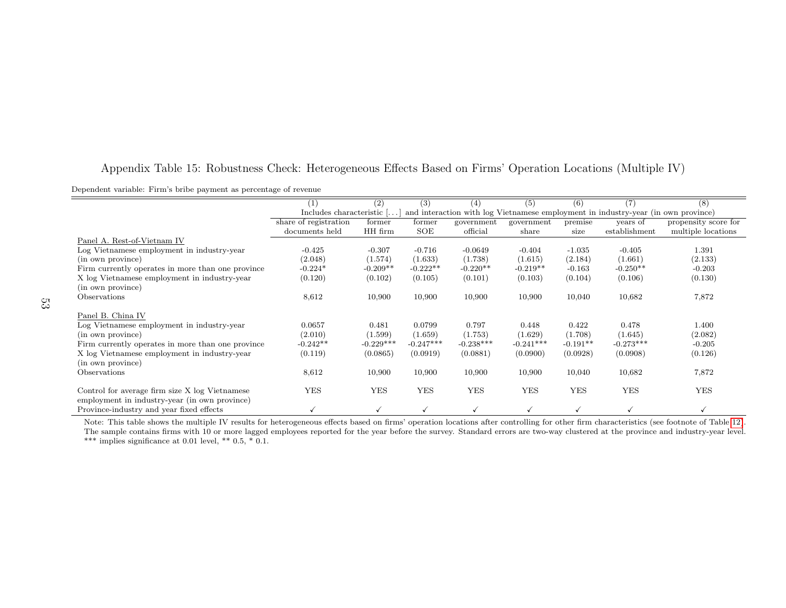| Appendix Table 15: Robustness Check: Heterogeneous Effects Based on Firms' Operation Locations (Multiple IV) |  |  |  |  |  |  |
|--------------------------------------------------------------------------------------------------------------|--|--|--|--|--|--|
|                                                                                                              |  |  |  |  |  |  |

Dependent variable: Firm's bribe payment as percentage of revenue

|                                                   | (1)                       | (2)         | (3)         | (4)         | (5)         | (6)        | (7)                                                                               | (8)                  |
|---------------------------------------------------|---------------------------|-------------|-------------|-------------|-------------|------------|-----------------------------------------------------------------------------------|----------------------|
|                                                   | Includes characteristic [ |             |             |             |             |            | and interaction with log Vietnamese employment in industry-year (in own province) |                      |
|                                                   | share of registration     | former      | former      | government  | government  | premise    | years of                                                                          | propensity score for |
|                                                   | documents held            | HH firm     | SOE         | official    | share       | size       | establishment                                                                     | multiple locations   |
| Panel A. Rest-of-Vietnam IV                       |                           |             |             |             |             |            |                                                                                   |                      |
| Log Vietnamese employment in industry-year        | $-0.425$                  | $-0.307$    | $-0.716$    | $-0.0649$   | $-0.404$    | $-1.035$   | $-0.405$                                                                          | 1.391                |
| (in own province)                                 | (2.048)                   | (1.574)     | (1.633)     | (1.738)     | (1.615)     | (2.184)    | (1.661)                                                                           | (2.133)              |
| Firm currently operates in more than one province | $-0.224*$                 | $-0.209**$  | $-0.222**$  | $-0.220**$  | $-0.219**$  | $-0.163$   | $-0.250**$                                                                        | $-0.203$             |
| X log Vietnamese employment in industry-year      | (0.120)                   | (0.102)     | (0.105)     | (0.101)     | (0.103)     | (0.104)    | (0.106)                                                                           | (0.130)              |
| (in own province)                                 |                           |             |             |             |             |            |                                                                                   |                      |
| Observations                                      | 8,612                     | 10,900      | 10,900      | 10,900      | 10,900      | 10,040     | 10,682                                                                            | 7,872                |
|                                                   |                           |             |             |             |             |            |                                                                                   |                      |
| Panel B. China IV                                 |                           |             |             |             |             |            |                                                                                   |                      |
| Log Vietnamese employment in industry-year        | 0.0657                    | 0.481       | 0.0799      | 0.797       | 0.448       | 0.422      | 0.478                                                                             | 1.400                |
| (in own province)                                 | (2.010)                   | (1.599)     | (1.659)     | (1.753)     | (1.629)     | (1.708)    | (1.645)                                                                           | (2.082)              |
| Firm currently operates in more than one province | $-0.242**$                | $-0.229***$ | $-0.247***$ | $-0.238***$ | $-0.241***$ | $-0.191**$ | $-0.273***$                                                                       | $-0.205$             |
| X log Vietnamese employment in industry-year      | (0.119)                   | (0.0865)    | (0.0919)    | (0.0881)    | (0.0900)    | (0.0928)   | (0.0908)                                                                          | (0.126)              |
| (in own province)                                 |                           |             |             |             |             |            |                                                                                   |                      |
| <b>Observations</b>                               | 8,612                     | 10,900      | 10,900      | 10,900      | 10,900      | 10,040     | 10,682                                                                            | 7,872                |
|                                                   |                           |             |             |             |             |            |                                                                                   |                      |
| Control for average firm size X log Vietnamese    | <b>YES</b>                | <b>YES</b>  | <b>YES</b>  | <b>YES</b>  | <b>YES</b>  | <b>YES</b> | <b>YES</b>                                                                        | <b>YES</b>           |
| employment in industry-year (in own province)     |                           |             |             |             |             |            |                                                                                   |                      |
| Province-industry and year fixed effects          |                           |             |             |             |             |            |                                                                                   |                      |

 Note: This table shows the multiple IV results for heterogeneous effects based on firms' operation locations after controlling for other firm characteristics (see footnote of Table 12). The sample contains firms with 10 or more lagged employees reported for the year before the survey. Standard errors are two-way clustered at the province and industry-year level.\*\*\* implies significance at 0.01 level, \*\* 0.5, \* 0.1.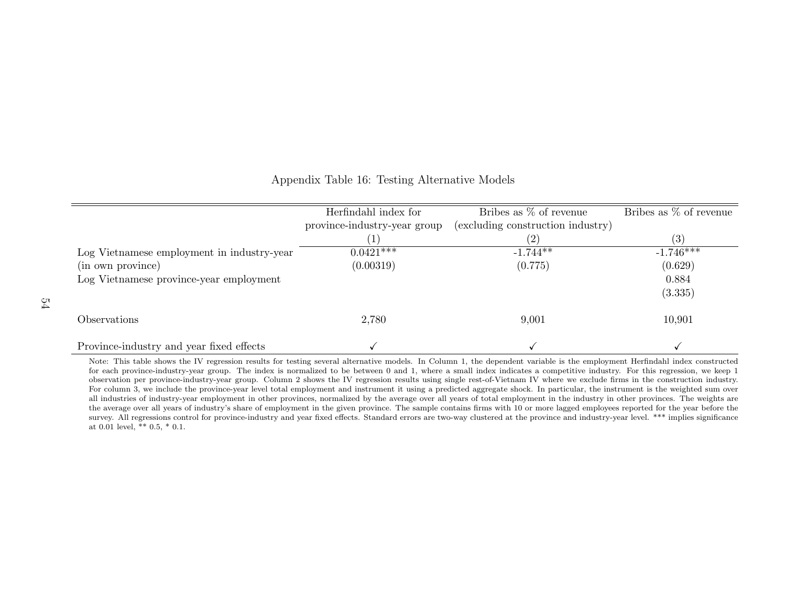|                                            | Herfindahl index for         | Bribes as $\%$ of revenue         | Bribes as $\%$ of revenue |
|--------------------------------------------|------------------------------|-----------------------------------|---------------------------|
|                                            | province-industry-year group | (excluding construction industry) |                           |
|                                            |                              | (2)                               | $\left( 3\right)$         |
| Log Vietnamese employment in industry-year | $0.0421***$                  | $-1.744**$                        | $-1.746***$               |
| (in own province)                          | (0.00319)                    | (0.775)                           | (0.629)                   |
| Log Vietnamese province-year employment    |                              |                                   | 0.884                     |
|                                            |                              |                                   | (3.335)                   |
| Observations                               | 2,780                        | 9,001                             | 10,901                    |
| Province-industry and year fixed effects   |                              |                                   |                           |

Appendix Table 16: Testing Alternative Models

 Note: This table shows the IV regression results for testing several alternative models. In Column 1, the dependent variable is the employment Herfindahl index constructed for each province-industry-year group. The index is normalized to be between 0 and 1, where <sup>a</sup> small index indicates <sup>a</sup> competitive industry. For this regression, we keep 1 observation per province-industry-year group. Column 2 shows the IV regression results using single rest-of-Vietnam IV where we exclude firms in the construction industry. For column 3, we include the province-year level total employment and instrument it using <sup>a</sup> predicted aggregate shock. In particular, the instrument is the weighted sum overall industries of industry-year employment in other provinces, normalized by the average over all years of total employment in the industry in other provinces. The weights are the average over all years of industry's share of employment in the given province. The sample contains firms with 10 or more lagged employees reported for the year before thesurvey. All regressions control for province-industry and year fixed effects. Standard errors are two-way clustered at the province and industry-year level. \*\*\* implies significance at 0.01 level, \*\* 0.5, \* 0.1.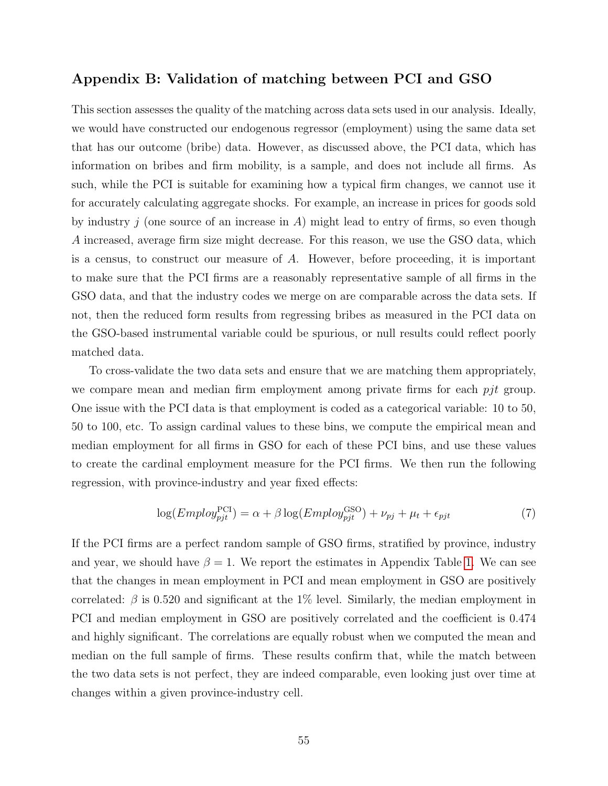# Appendix B: Validation of matching between PCI and GSO

This section assesses the quality of the matching across data sets used in our analysis. Ideally, we would have constructed our endogenous regressor (employment) using the same data set that has our outcome (bribe) data. However, as discussed above, the PCI data, which has information on bribes and firm mobility, is a sample, and does not include all firms. As such, while the PCI is suitable for examining how a typical firm changes, we cannot use it for accurately calculating aggregate shocks. For example, an increase in prices for goods sold by industry j (one source of an increase in A) might lead to entry of firms, so even though A increased, average firm size might decrease. For this reason, we use the GSO data, which is a census, to construct our measure of A. However, before proceeding, it is important to make sure that the PCI firms are a reasonably representative sample of all firms in the GSO data, and that the industry codes we merge on are comparable across the data sets. If not, then the reduced form results from regressing bribes as measured in the PCI data on the GSO-based instrumental variable could be spurious, or null results could reflect poorly matched data.

To cross-validate the two data sets and ensure that we are matching them appropriately, we compare mean and median firm employment among private firms for each  $pjt$  group. One issue with the PCI data is that employment is coded as a categorical variable: 10 to 50, 50 to 100, etc. To assign cardinal values to these bins, we compute the empirical mean and median employment for all firms in GSO for each of these PCI bins, and use these values to create the cardinal employment measure for the PCI firms. We then run the following regression, with province-industry and year fixed effects:

$$
\log(Employ_{pjt}^{\text{PCI}}) = \alpha + \beta \log(Employ_{pjt}^{\text{GSO}}) + \nu_{pj} + \mu_t + \epsilon_{pjt}
$$
\n(7)

If the PCI firms are a perfect random sample of GSO firms, stratified by province, industry and year, we should have  $\beta = 1$ . We report the estimates in Appendix Table 1. We can see that the changes in mean employment in PCI and mean employment in GSO are positively correlated:  $\beta$  is 0.520 and significant at the 1% level. Similarly, the median employment in PCI and median employment in GSO are positively correlated and the coefficient is 0.474 and highly significant. The correlations are equally robust when we computed the mean and median on the full sample of firms. These results confirm that, while the match between the two data sets is not perfect, they are indeed comparable, even looking just over time at changes within a given province-industry cell.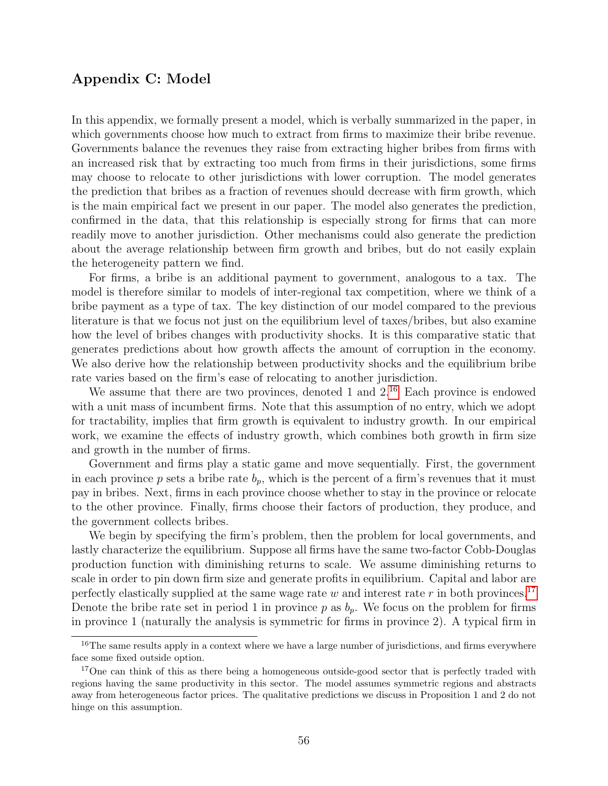# Appendix C: Model

In this appendix, we formally present a model, which is verbally summarized in the paper, in which governments choose how much to extract from firms to maximize their bribe revenue. Governments balance the revenues they raise from extracting higher bribes from firms with an increased risk that by extracting too much from firms in their jurisdictions, some firms may choose to relocate to other jurisdictions with lower corruption. The model generates the prediction that bribes as a fraction of revenues should decrease with firm growth, which is the main empirical fact we present in our paper. The model also generates the prediction, confirmed in the data, that this relationship is especially strong for firms that can more readily move to another jurisdiction. Other mechanisms could also generate the prediction about the average relationship between firm growth and bribes, but do not easily explain the heterogeneity pattern we find.

For firms, a bribe is an additional payment to government, analogous to a tax. The model is therefore similar to models of inter-regional tax competition, where we think of a bribe payment as a type of tax. The key distinction of our model compared to the previous literature is that we focus not just on the equilibrium level of taxes/bribes, but also examine how the level of bribes changes with productivity shocks. It is this comparative static that generates predictions about how growth affects the amount of corruption in the economy. We also derive how the relationship between productivity shocks and the equilibrium bribe rate varies based on the firm's ease of relocating to another jurisdiction.

We assume that there are two provinces, denoted 1 and  $2^{16}$  Each province is endowed with a unit mass of incumbent firms. Note that this assumption of no entry, which we adopt for tractability, implies that firm growth is equivalent to industry growth. In our empirical work, we examine the effects of industry growth, which combines both growth in firm size and growth in the number of firms.

Government and firms play a static game and move sequentially. First, the government in each province p sets a bribe rate  $b_p$ , which is the percent of a firm's revenues that it must pay in bribes. Next, firms in each province choose whether to stay in the province or relocate to the other province. Finally, firms choose their factors of production, they produce, and the government collects bribes.

We begin by specifying the firm's problem, then the problem for local governments, and lastly characterize the equilibrium. Suppose all firms have the same two-factor Cobb-Douglas production function with diminishing returns to scale. We assume diminishing returns to scale in order to pin down firm size and generate profits in equilibrium. Capital and labor are perfectly elastically supplied at the same wage rate w and interest rate r in both provinces.<sup>17</sup> Denote the bribe rate set in period 1 in province  $p$  as  $b_p$ . We focus on the problem for firms in province 1 (naturally the analysis is symmetric for firms in province 2). A typical firm in

<sup>&</sup>lt;sup>16</sup>The same results apply in a context where we have a large number of jurisdictions, and firms everywhere face some fixed outside option.

<sup>&</sup>lt;sup>17</sup>One can think of this as there being a homogeneous outside-good sector that is perfectly traded with regions having the same productivity in this sector. The model assumes symmetric regions and abstracts away from heterogeneous factor prices. The qualitative predictions we discuss in Proposition 1 and 2 do not hinge on this assumption.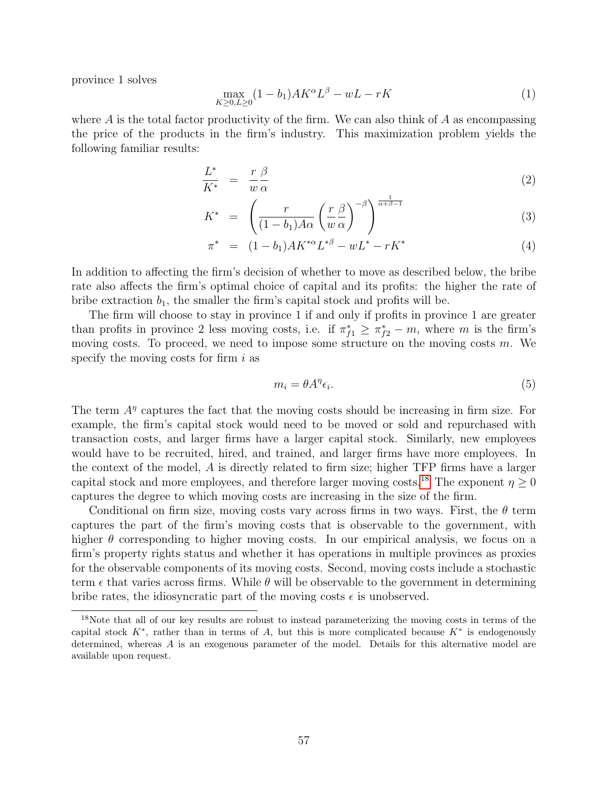province 1 solves

$$
\max_{K \ge 0, L \ge 0} (1 - b_1) A K^{\alpha} L^{\beta} - w L - r K \tag{1}
$$

where  $A$  is the total factor productivity of the firm. We can also think of  $A$  as encompassing the price of the products in the firm's industry. This maximization problem yields the following familiar results:

$$
\frac{L^*}{K^*} = \frac{r \beta}{w \alpha} \tag{2}
$$

$$
K^* = \left(\frac{r}{(1-b_1)A\alpha} \left(\frac{r}{w}\frac{\beta}{\alpha}\right)^{-\beta}\right)^{\frac{1}{\alpha+\beta-1}}\tag{3}
$$

$$
\pi^* = (1 - b_1) A K^{*\alpha} L^{*\beta} - w L^* - r K^* \tag{4}
$$

In addition to affecting the firm's decision of whether to move as described below, the bribe rate also affects the firm's optimal choice of capital and its profits: the higher the rate of bribe extraction  $b_1$ , the smaller the firm's capital stock and profits will be.

The firm will choose to stay in province 1 if and only if profits in province 1 are greater than profits in province 2 less moving costs, i.e. if  $\pi_{f1}^* \geq \pi_{f2}^* - m$ , where m is the firm's moving costs. To proceed, we need to impose some structure on the moving costs  $m$ . We specify the moving costs for firm  $i$  as

$$
m_i = \theta A^{\eta} \epsilon_i. \tag{5}
$$

The term  $A<sup>\eta</sup>$  captures the fact that the moving costs should be increasing in firm size. For example, the firm's capital stock would need to be moved or sold and repurchased with transaction costs, and larger firms have a larger capital stock. Similarly, new employees would have to be recruited, hired, and trained, and larger firms have more employees. In the context of the model, A is directly related to firm size; higher TFP firms have a larger capital stock and more employees, and therefore larger moving costs.<sup>18</sup> The exponent  $\eta \geq 0$ captures the degree to which moving costs are increasing in the size of the firm.

Conditional on firm size, moving costs vary across firms in two ways. First, the  $\theta$  term captures the part of the firm's moving costs that is observable to the government, with higher  $\theta$  corresponding to higher moving costs. In our empirical analysis, we focus on a firm's property rights status and whether it has operations in multiple provinces as proxies for the observable components of its moving costs. Second, moving costs include a stochastic term  $\epsilon$  that varies across firms. While  $\theta$  will be observable to the government in determining bribe rates, the idiosyncratic part of the moving costs  $\epsilon$  is unobserved.

<sup>&</sup>lt;sup>18</sup>Note that all of our key results are robust to instead parameterizing the moving costs in terms of the capital stock  $K^*$ , rather than in terms of A, but this is more complicated because  $K^*$  is endogenously determined, whereas A is an exogenous parameter of the model. Details for this alternative model are available upon request.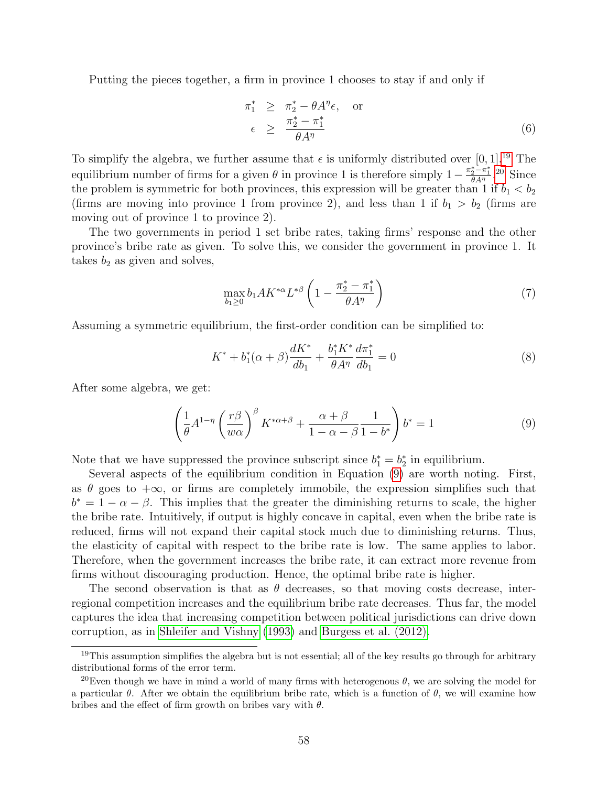Putting the pieces together, a firm in province 1 chooses to stay if and only if

$$
\begin{array}{rcl}\n\pi_1^* & \geq & \pi_2^* - \theta A^\eta \epsilon, \quad \text{or} \\
\epsilon & \geq & \frac{\pi_2^* - \pi_1^*}{\theta A^\eta}\n\end{array} \tag{6}
$$

To simplify the algebra, we further assume that  $\epsilon$  is uniformly distributed over [0, 1].<sup>19</sup> The equilibrium number of firms for a given  $\theta$  in province 1 is therefore simply  $1-\frac{\pi_2^*-\pi_1^*}{\theta A^\eta}$ .<sup>20</sup> Since the problem is symmetric for both provinces, this expression will be greater than 1 if  $b_1 < b_2$ (firms are moving into province 1 from province 2), and less than 1 if  $b_1 > b_2$  (firms are moving out of province 1 to province 2).

The two governments in period 1 set bribe rates, taking firms' response and the other province's bribe rate as given. To solve this, we consider the government in province 1. It takes  $b_2$  as given and solves,

$$
\max_{b_1 \ge 0} b_1 A K^{*\alpha} L^{*\beta} \left( 1 - \frac{\pi_2^* - \pi_1^*}{\theta A^\eta} \right) \tag{7}
$$

Assuming a symmetric equilibrium, the first-order condition can be simplified to:

$$
K^* + b_1^*(\alpha + \beta) \frac{dK^*}{db_1} + \frac{b_1^* K^*}{\theta A^\eta} \frac{d\pi_1^*}{db_1} = 0
$$
 (8)

After some algebra, we get:

$$
\left(\frac{1}{\theta}A^{1-\eta}\left(\frac{r\beta}{w\alpha}\right)^{\beta}K^{*\alpha+\beta}+\frac{\alpha+\beta}{1-\alpha-\beta}\frac{1}{1-b^*}\right)b^*=1
$$
\n(9)

Note that we have suppressed the province subscript since  $b_1^* = b_2^*$  in equilibrium.

Several aspects of the equilibrium condition in Equation (9) are worth noting. First, as  $\theta$  goes to  $+\infty$ , or firms are completely immobile, the expression simplifies such that  $b^* = 1 - \alpha - \beta$ . This implies that the greater the diminishing returns to scale, the higher the bribe rate. Intuitively, if output is highly concave in capital, even when the bribe rate is reduced, firms will not expand their capital stock much due to diminishing returns. Thus, the elasticity of capital with respect to the bribe rate is low. The same applies to labor. Therefore, when the government increases the bribe rate, it can extract more revenue from firms without discouraging production. Hence, the optimal bribe rate is higher.

The second observation is that as  $\theta$  decreases, so that moving costs decrease, interregional competition increases and the equilibrium bribe rate decreases. Thus far, the model captures the idea that increasing competition between political jurisdictions can drive down corruption, as in Shleifer and Vishny (1993) and Burgess et al. (2012).

 $19$ This assumption simplifies the algebra but is not essential; all of the key results go through for arbitrary distributional forms of the error term.

<sup>&</sup>lt;sup>20</sup>Even though we have in mind a world of many firms with heterogenous  $\theta$ , we are solving the model for a particular  $\theta$ . After we obtain the equilibrium bribe rate, which is a function of  $\theta$ , we will examine how bribes and the effect of firm growth on bribes vary with  $\theta$ .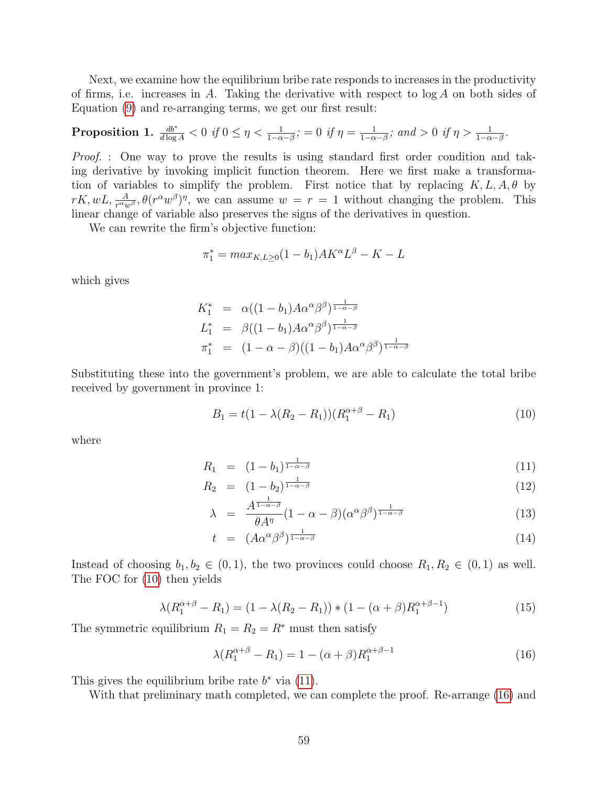Next, we examine how the equilibrium bribe rate responds to increases in the productivity of firms, i.e. increases in A. Taking the derivative with respect to  $\log A$  on both sides of Equation (9) and re-arranging terms, we get our first result:

**Proposition 1.** 
$$
\frac{db^*}{d \log A} < 0
$$
 if  $0 \leq \eta < \frac{1}{1-\alpha-\beta}$ ;  $= 0$  if  $\eta = \frac{1}{1-\alpha-\beta}$ ; and  $> 0$  if  $\eta > \frac{1}{1-\alpha-\beta}$ .

Proof. : One way to prove the results is using standard first order condition and taking derivative by invoking implicit function theorem. Here we first make a transformation of variables to simplify the problem. First notice that by replacing  $K, L, A, \theta$  by  $rK, wL, \frac{A}{r^{\alpha}w^{\beta}}, \theta(r^{\alpha}w^{\beta})^{\eta}$ , we can assume  $w = r = 1$  without changing the problem. This linear change of variable also preserves the signs of the derivatives in question.

We can rewrite the firm's objective function:

$$
\pi_1^* = \max_{K, L \ge 0} (1 - b_1) A K^{\alpha} L^{\beta} - K - L
$$

which gives

$$
K_1^* = \alpha((1 - b_1)A\alpha^{\alpha}\beta^{\beta})^{\frac{1}{1 - \alpha - \beta}}
$$
  
\n
$$
L_1^* = \beta((1 - b_1)A\alpha^{\alpha}\beta^{\beta})^{\frac{1}{1 - \alpha - \beta}}
$$
  
\n
$$
\pi_1^* = (1 - \alpha - \beta)((1 - b_1)A\alpha^{\alpha}\beta^{\beta})^{\frac{1}{1 - \alpha - \beta}}
$$

Substituting these into the government's problem, we are able to calculate the total bribe received by government in province 1:

$$
B_1 = t(1 - \lambda(R_2 - R_1))(R_1^{\alpha + \beta} - R_1)
$$
\n(10)

where

$$
R_1 = (1 - b_1)^{\frac{1}{1 - \alpha - \beta}} \tag{11}
$$

$$
R_2 = (1 - b_2)^{\frac{1}{1 - \alpha - \beta}} \tag{12}
$$

$$
\lambda = \frac{A^{\frac{1-\alpha-\beta}{1-\alpha-\beta}}}{\theta A^{\eta}} (1-\alpha-\beta) (\alpha^{\alpha} \beta^{\beta})^{\frac{1}{1-\alpha-\beta}}
$$
(13)

$$
t = (A\alpha^{\alpha}\beta^{\beta})^{\frac{1}{1-\alpha-\beta}} \tag{14}
$$

Instead of choosing  $b_1, b_2 \in (0, 1)$ , the two provinces could choose  $R_1, R_2 \in (0, 1)$  as well. The FOC for (10) then yields

$$
\lambda(R_1^{\alpha+\beta} - R_1) = (1 - \lambda(R_2 - R_1)) * (1 - (\alpha + \beta)R_1^{\alpha+\beta-1})
$$
\n(15)

The symmetric equilibrium  $R_1 = R_2 = R^*$  must then satisfy

$$
\lambda(R_1^{\alpha+\beta} - R_1) = 1 - (\alpha + \beta)R_1^{\alpha+\beta-1}
$$
 (16)

This gives the equilibrium bribe rate  $b^*$  via (11).

With that preliminary math completed, we can complete the proof. Re-arrange (16) and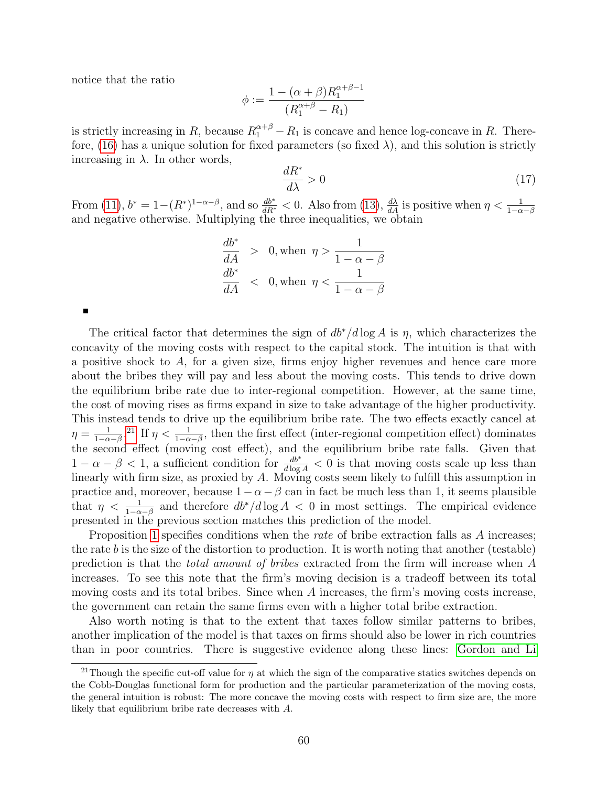notice that the ratio

$$
\phi := \frac{1 - (\alpha + \beta)R_1^{\alpha + \beta - 1}}{(R_1^{\alpha + \beta} - R_1)}
$$

is strictly increasing in R, because  $R_1^{\alpha+\beta} - R_1$  is concave and hence log-concave in R. Therefore, (16) has a unique solution for fixed parameters (so fixed  $\lambda$ ), and this solution is strictly increasing in  $\lambda$ . In other words,

$$
\frac{dR^*}{d\lambda} > 0\tag{17}
$$

From (11),  $b^* = 1 - (R^*)^{1-\alpha-\beta}$ , and so  $\frac{db^*}{dR^*} < 0$ . Also from (13),  $\frac{d\lambda}{dA}$  is positive when  $\eta < \frac{1}{1-\alpha-\beta}$ and negative otherwise. Multiplying the three inequalities, we obtain

$$
\frac{db^*}{dA} > 0, \text{ when } \eta > \frac{1}{1 - \alpha - \beta}
$$
  

$$
\frac{db^*}{dA} < 0, \text{ when } \eta < \frac{1}{1 - \alpha - \beta}
$$

The critical factor that determines the sign of  $db^*/d \log A$  is  $\eta$ , which characterizes the concavity of the moving costs with respect to the capital stock. The intuition is that with a positive shock to  $A$ , for a given size, firms enjoy higher revenues and hence care more about the bribes they will pay and less about the moving costs. This tends to drive down the equilibrium bribe rate due to inter-regional competition. However, at the same time, the cost of moving rises as firms expand in size to take advantage of the higher productivity. This instead tends to drive up the equilibrium bribe rate. The two effects exactly cancel at  $\eta = \frac{1}{1-\alpha}$  $\frac{1}{1-\alpha-\beta}$ .<sup>21</sup> If  $\eta < \frac{1}{1-\alpha-\beta}$ , then the first effect (inter-regional competition effect) dominates the second effect (moving cost effect), and the equilibrium bribe rate falls. Given that  $1 - \alpha - \beta < 1$ , a sufficient condition for  $\frac{db^*}{d \log A} < 0$  is that moving costs scale up less than linearly with firm size, as proxied by A. Moving costs seem likely to fulfill this assumption in practice and, moreover, because  $1-\alpha-\beta$  can in fact be much less than 1, it seems plausible that  $\eta < \frac{1}{1-\alpha-\beta}$  and therefore  $db^*/d \log A < 0$  in most settings. The empirical evidence presented in the previous section matches this prediction of the model.

Proposition 1 specifies conditions when the *rate* of bribe extraction falls as A increases; the rate b is the size of the distortion to production. It is worth noting that another (testable) prediction is that the total amount of bribes extracted from the firm will increase when A increases. To see this note that the firm's moving decision is a tradeoff between its total moving costs and its total bribes. Since when A increases, the firm's moving costs increase, the government can retain the same firms even with a higher total bribe extraction.

Also worth noting is that to the extent that taxes follow similar patterns to bribes, another implication of the model is that taxes on firms should also be lower in rich countries than in poor countries. There is suggestive evidence along these lines: Gordon and Li

<sup>&</sup>lt;sup>21</sup>Though the specific cut-off value for  $\eta$  at which the sign of the comparative statics switches depends on the Cobb-Douglas functional form for production and the particular parameterization of the moving costs, the general intuition is robust: The more concave the moving costs with respect to firm size are, the more likely that equilibrium bribe rate decreases with A.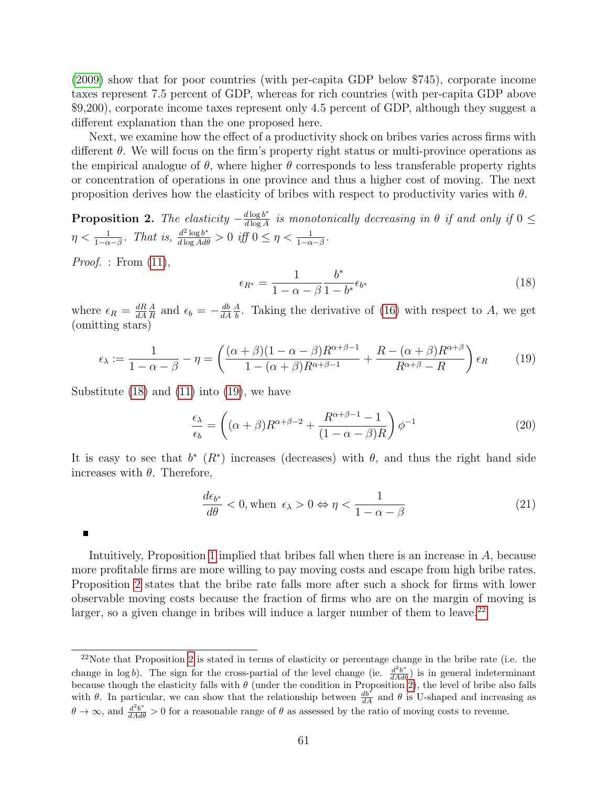(2009) show that for poor countries (with per-capita GDP below \$745), corporate income taxes represent 7.5 percent of GDP, whereas for rich countries (with per-capita GDP above \$9,200), corporate income taxes represent only 4.5 percent of GDP, although they suggest a different explanation than the one proposed here.

Next, we examine how the effect of a productivity shock on bribes varies across firms with different  $\theta$ . We will focus on the firm's property right status or multi-province operations as the empirical analogue of  $\theta$ , where higher  $\theta$  corresponds to less transferable property rights or concentration of operations in one province and thus a higher cost of moving. The next proposition derives how the elasticity of bribes with respect to productivity varies with  $\theta$ .

**Proposition 2.** The elasticity  $-\frac{d \log b^*}{d \log A}$  $\frac{d \log b^*}{d \log A}$  is monotonically decreasing in  $\theta$  if and only if  $0 \leq$  $\eta < \frac{1}{1-\alpha-\beta}$ . That is,  $\frac{d^2 \log b^*}{d \log A d\theta} > 0$  iff  $0 \leq \eta < \frac{1}{1-\alpha-\beta}$ .

*Proof.* : From  $(11)$ ,

 $\blacksquare$ 

$$
\epsilon_{R^*} = \frac{1}{1 - \alpha - \beta} \frac{b^*}{1 - b^*} \epsilon_{b^*}
$$
\n(18)

where  $\epsilon_R = \frac{dR}{dA}$ dA A  $\frac{A}{R}$  and  $\epsilon_b = -\frac{db}{dA}$ dA A  $\frac{A}{b}$ . Taking the derivative of (16) with respect to A, we get (omitting stars)

$$
\epsilon_{\lambda} := \frac{1}{1 - \alpha - \beta} - \eta = \left( \frac{(\alpha + \beta)(1 - \alpha - \beta)R^{\alpha + \beta - 1}}{1 - (\alpha + \beta)R^{\alpha + \beta - 1}} + \frac{R - (\alpha + \beta)R^{\alpha + \beta}}{R^{\alpha + \beta} - R} \right) \epsilon_R \tag{19}
$$

Substitute  $(18)$  and  $(11)$  into  $(19)$ , we have

$$
\frac{\epsilon_{\lambda}}{\epsilon_{b}} = \left( (\alpha + \beta) R^{\alpha + \beta - 2} + \frac{R^{\alpha + \beta - 1} - 1}{(1 - \alpha - \beta)R} \right) \phi^{-1}
$$
\n(20)

It is easy to see that  $b^*$  ( $R^*$ ) increases (decreases) with  $\theta$ , and thus the right hand side increases with  $\theta$ . Therefore,

$$
\frac{d\epsilon_{b^*}}{d\theta} < 0, \text{when } \epsilon_\lambda > 0 \Leftrightarrow \eta < \frac{1}{1 - \alpha - \beta} \tag{21}
$$

Intuitively, Proposition 1 implied that bribes fall when there is an increase in A, because more profitable firms are more willing to pay moving costs and escape from high bribe rates. Proposition 2 states that the bribe rate falls more after such a shock for firms with lower observable moving costs because the fraction of firms who are on the margin of moving is larger, so a given change in bribes will induce a larger number of them to leave.<sup>22</sup>

<sup>&</sup>lt;sup>22</sup>Note that Proposition 2 is stated in terms of elasticity or percentage change in the bribe rate (i.e. the change in log b). The sign for the cross-partial of the level change (ie.  $\frac{d^2b^*}{dA d\theta}$ ) is in general indeterminant because though the elasticity falls with  $\theta$  (under the condition in Proposition 2), the level of bribe also falls with  $\theta$ . In particular, we can show that the relationship between  $\frac{db^*}{dA}$  and  $\theta$  is U-shaped and increasing as  $\theta \to \infty$ , and  $\frac{d^2b^*}{dA d\theta} > 0$  for a reasonable range of  $\theta$  as assessed by the ratio of moving costs to revenue.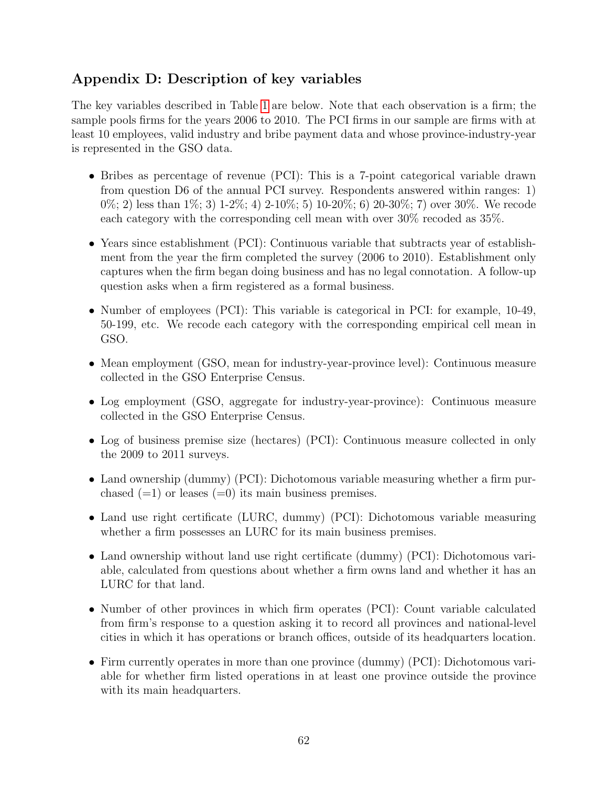# Appendix D: Description of key variables

The key variables described in Table 1 are below. Note that each observation is a firm; the sample pools firms for the years 2006 to 2010. The PCI firms in our sample are firms with at least 10 employees, valid industry and bribe payment data and whose province-industry-year is represented in the GSO data.

- Bribes as percentage of revenue (PCI): This is a 7-point categorical variable drawn from question D6 of the annual PCI survey. Respondents answered within ranges: 1)  $0\%$ ; 2) less than  $1\%$ ; 3)  $1-2\%$ ; 4)  $2-10\%$ ; 5)  $10-20\%$ ; 6)  $20-30\%$ ; 7) over  $30\%$ . We recode each category with the corresponding cell mean with over 30% recoded as 35%.
- Years since establishment (PCI): Continuous variable that subtracts year of establishment from the year the firm completed the survey (2006 to 2010). Establishment only captures when the firm began doing business and has no legal connotation. A follow-up question asks when a firm registered as a formal business.
- Number of employees (PCI): This variable is categorical in PCI: for example, 10-49, 50-199, etc. We recode each category with the corresponding empirical cell mean in GSO.
- Mean employment (GSO, mean for industry-year-province level): Continuous measure collected in the GSO Enterprise Census.
- Log employment (GSO, aggregate for industry-year-province): Continuous measure collected in the GSO Enterprise Census.
- Log of business premise size (hectares) (PCI): Continuous measure collected in only the 2009 to 2011 surveys.
- Land ownership (dummy) (PCI): Dichotomous variable measuring whether a firm purchased  $(=1)$  or leases  $(=0)$  its main business premises.
- Land use right certificate (LURC, dummy) (PCI): Dichotomous variable measuring whether a firm possesses an LURC for its main business premises.
- Land ownership without land use right certificate (dummy) (PCI): Dichotomous variable, calculated from questions about whether a firm owns land and whether it has an LURC for that land.
- Number of other provinces in which firm operates (PCI): Count variable calculated from firm's response to a question asking it to record all provinces and national-level cities in which it has operations or branch offices, outside of its headquarters location.
- Firm currently operates in more than one province (dummy) (PCI): Dichotomous variable for whether firm listed operations in at least one province outside the province with its main headquarters.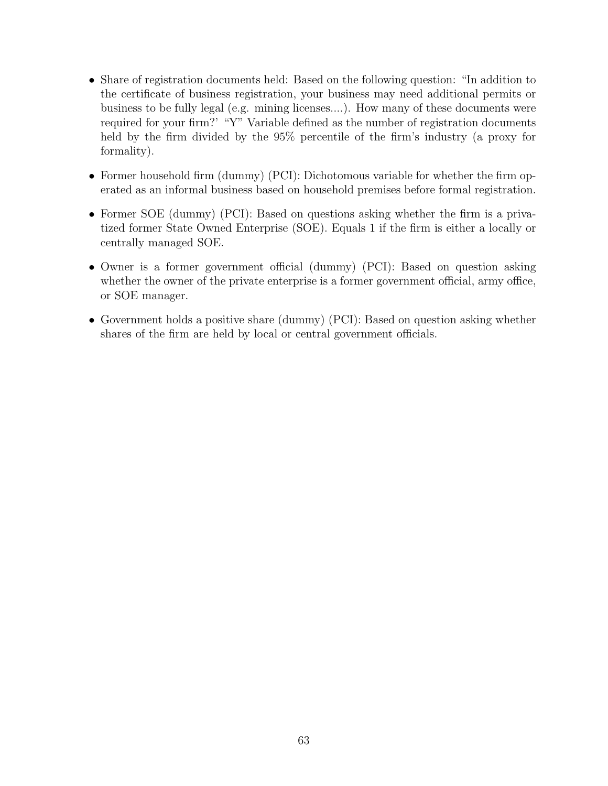- Share of registration documents held: Based on the following question: "In addition to the certificate of business registration, your business may need additional permits or business to be fully legal (e.g. mining licenses....). How many of these documents were required for your firm?' "Y" Variable defined as the number of registration documents held by the firm divided by the 95% percentile of the firm's industry (a proxy for formality).
- Former household firm (dummy) (PCI): Dichotomous variable for whether the firm operated as an informal business based on household premises before formal registration.
- Former SOE (dummy) (PCI): Based on questions asking whether the firm is a privatized former State Owned Enterprise (SOE). Equals 1 if the firm is either a locally or centrally managed SOE.
- Owner is a former government official (dummy) (PCI): Based on question asking whether the owner of the private enterprise is a former government official, army office, or SOE manager.
- Government holds a positive share (dummy) (PCI): Based on question asking whether shares of the firm are held by local or central government officials.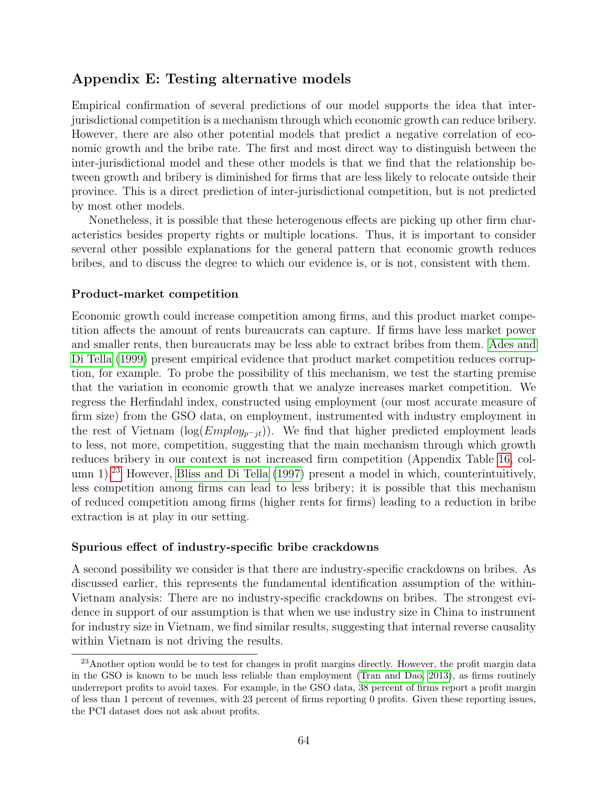# Appendix E: Testing alternative models

Empirical confirmation of several predictions of our model supports the idea that interjurisdictional competition is a mechanism through which economic growth can reduce bribery. However, there are also other potential models that predict a negative correlation of economic growth and the bribe rate. The first and most direct way to distinguish between the inter-jurisdictional model and these other models is that we find that the relationship between growth and bribery is diminished for firms that are less likely to relocate outside their province. This is a direct prediction of inter-jurisdictional competition, but is not predicted by most other models.

Nonetheless, it is possible that these heterogenous effects are picking up other firm characteristics besides property rights or multiple locations. Thus, it is important to consider several other possible explanations for the general pattern that economic growth reduces bribes, and to discuss the degree to which our evidence is, or is not, consistent with them.

#### Product-market competition

Economic growth could increase competition among firms, and this product market competition affects the amount of rents bureaucrats can capture. If firms have less market power and smaller rents, then bureaucrats may be less able to extract bribes from them. Ades and Di Tella (1999) present empirical evidence that product market competition reduces corruption, for example. To probe the possibility of this mechanism, we test the starting premise that the variation in economic growth that we analyze increases market competition. We regress the Herfindahl index, constructed using employment (our most accurate measure of firm size) from the GSO data, on employment, instrumented with industry employment in the rest of Vietnam (log( $Employ_{p-it}$ )). We find that higher predicted employment leads to less, not more, competition, suggesting that the main mechanism through which growth reduces bribery in our context is not increased firm competition (Appendix Table 16, column  $1$ <sup>23</sup> However, Bliss and Di Tella (1997) present a model in which, counterintuitively, less competition among firms can lead to less bribery; it is possible that this mechanism of reduced competition among firms (higher rents for firms) leading to a reduction in bribe extraction is at play in our setting.

#### Spurious effect of industry-specific bribe crackdowns

A second possibility we consider is that there are industry-specific crackdowns on bribes. As discussed earlier, this represents the fundamental identification assumption of the within-Vietnam analysis: There are no industry-specific crackdowns on bribes. The strongest evidence in support of our assumption is that when we use industry size in China to instrument for industry size in Vietnam, we find similar results, suggesting that internal reverse causality within Vietnam is not driving the results.

<sup>23</sup>Another option would be to test for changes in profit margins directly. However, the profit margin data in the GSO is known to be much less reliable than employment (Tran and Dao, 2013), as firms routinely underreport profits to avoid taxes. For example, in the GSO data, 38 percent of firms report a profit margin of less than 1 percent of revenues, with 23 percent of firms reporting 0 profits. Given these reporting issues, the PCI dataset does not ask about profits.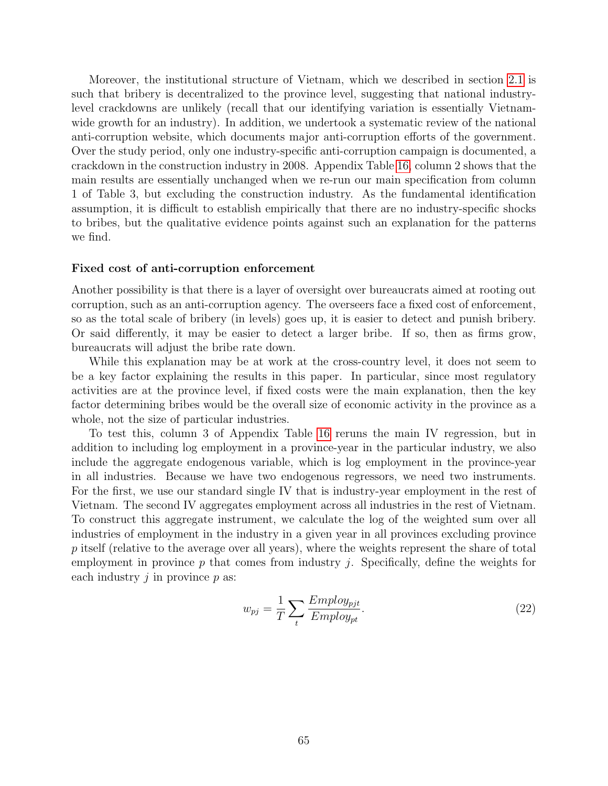Moreover, the institutional structure of Vietnam, which we described in section 2.1 is such that bribery is decentralized to the province level, suggesting that national industrylevel crackdowns are unlikely (recall that our identifying variation is essentially Vietnamwide growth for an industry). In addition, we undertook a systematic review of the national anti-corruption website, which documents major anti-corruption efforts of the government. Over the study period, only one industry-specific anti-corruption campaign is documented, a crackdown in the construction industry in 2008. Appendix Table 16, column 2 shows that the main results are essentially unchanged when we re-run our main specification from column 1 of Table 3, but excluding the construction industry. As the fundamental identification assumption, it is difficult to establish empirically that there are no industry-specific shocks to bribes, but the qualitative evidence points against such an explanation for the patterns we find.

#### Fixed cost of anti-corruption enforcement

Another possibility is that there is a layer of oversight over bureaucrats aimed at rooting out corruption, such as an anti-corruption agency. The overseers face a fixed cost of enforcement, so as the total scale of bribery (in levels) goes up, it is easier to detect and punish bribery. Or said differently, it may be easier to detect a larger bribe. If so, then as firms grow, bureaucrats will adjust the bribe rate down.

While this explanation may be at work at the cross-country level, it does not seem to be a key factor explaining the results in this paper. In particular, since most regulatory activities are at the province level, if fixed costs were the main explanation, then the key factor determining bribes would be the overall size of economic activity in the province as a whole, not the size of particular industries.

To test this, column 3 of Appendix Table 16 reruns the main IV regression, but in addition to including log employment in a province-year in the particular industry, we also include the aggregate endogenous variable, which is log employment in the province-year in all industries. Because we have two endogenous regressors, we need two instruments. For the first, we use our standard single IV that is industry-year employment in the rest of Vietnam. The second IV aggregates employment across all industries in the rest of Vietnam. To construct this aggregate instrument, we calculate the log of the weighted sum over all industries of employment in the industry in a given year in all provinces excluding province p itself (relative to the average over all years), where the weights represent the share of total employment in province  $p$  that comes from industry  $i$ . Specifically, define the weights for each industry  $j$  in province  $p$  as:

$$
w_{pj} = \frac{1}{T} \sum_{t} \frac{Employ_{pjt}}{Employ_{pt}}.
$$
\n(22)